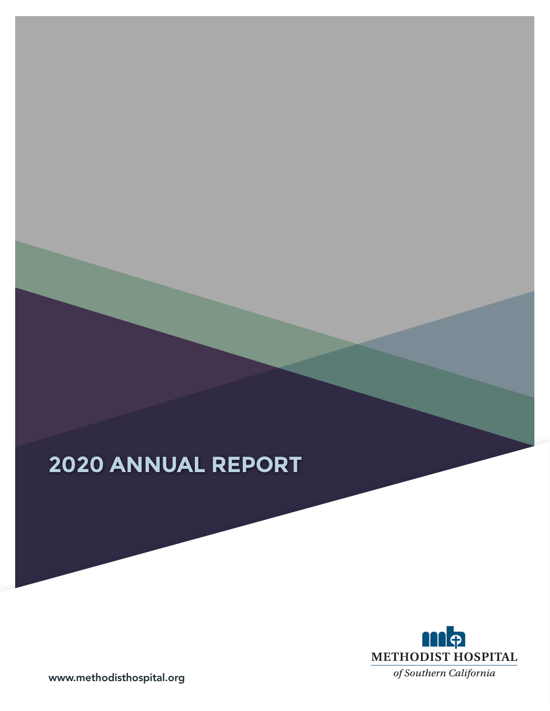# **2020 ANNUAL REPORT**



www.methodisthospital.org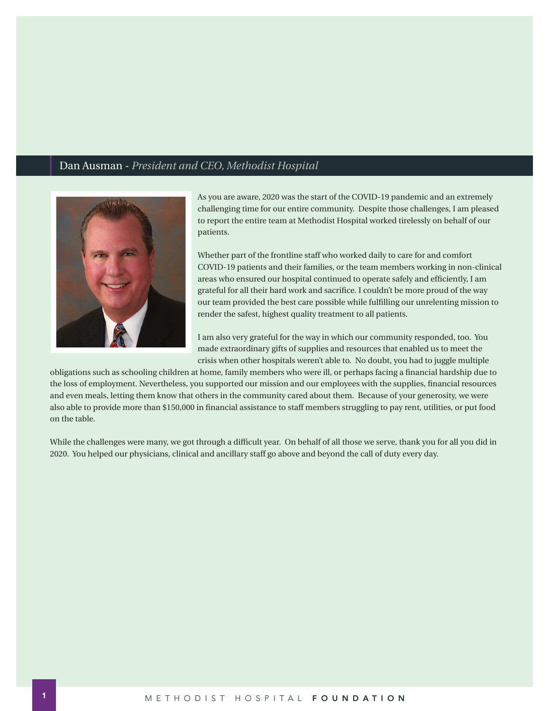### Dan Ausman - *President and CEO, Methodist Hospital*



As you are aware, 2020 was the start of the COVID-19 pandemic and an extremely challenging time for our entire community. Despite those challenges, I am pleased to report the entire team at Methodist Hospital worked tirelessly on behalf of our patients.

Whether part of the frontline staff who worked daily to care for and comfort COVID-19 patients and their families, or the team members working in non-clinical areas who ensured our hospital continued to operate safely and efficiently, I am grateful for all their hard work and sacrifice. I couldn't be more proud of the way our team provided the best care possible while fulfilling our unrelenting mission to render the safest, highest quality treatment to all patients.

I am also very grateful for the way in which our community responded, too. You made extraordinary gifts of supplies and resources that enabled us to meet the crisis when other hospitals weren't able to. No doubt, you had to juggle multiple

obligations such as schooling children at home, family members who were ill, or perhaps facing a financial hardship due to the loss of employment. Nevertheless, you supported our mission and our employees with the supplies, financial resources and even meals, letting them know that others in the community cared about them. Because of your generosity, we were also able to provide more than \$150,000 in financial assistance to staff members struggling to pay rent, utilities, or put food on the table.

While the challenges were many, we got through a difficult year. On behalf of all those we serve, thank you for all you did in 2020. You helped our physicians, clinical and ancillary staff go above and beyond the call of duty every day.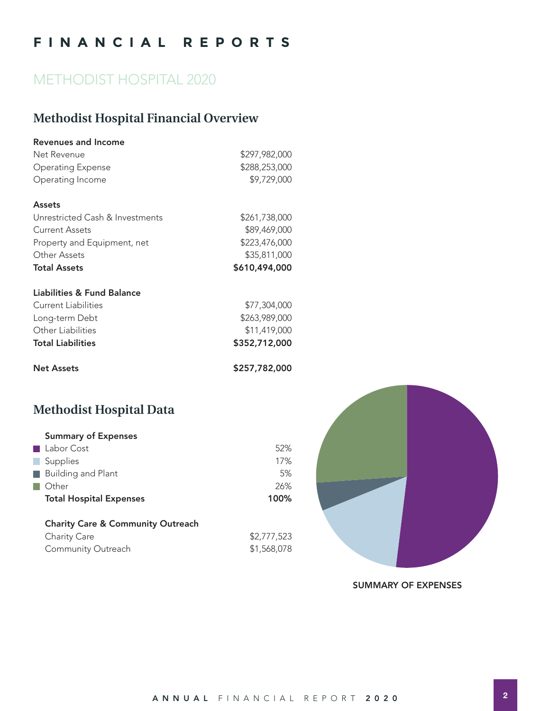## **FINANCIAL REPORTS**

## METHODIST HOSPITAL 2020

## **Methodist Hospital Financial Overview**

| Revenues and Income             |               |
|---------------------------------|---------------|
| Net Revenue                     | \$297,982,000 |
| <b>Operating Expense</b>        | \$288,253,000 |
| Operating Income                | \$9,729,000   |
| <b>Assets</b>                   |               |
| Unrestricted Cash & Investments | \$261,738,000 |
| Current Assets                  | \$89,469,000  |
| Property and Equipment, net     | \$223,476,000 |
| Other Assets                    | \$35,811,000  |
| <b>Total Assets</b>             | \$610,494,000 |
| Liabilities & Fund Balance      |               |
| Current Liabilities             | \$77,304,000  |
| Long-term Debt                  | \$263,989,000 |
| Other Liabilities               | \$11,419,000  |
| <b>Total Liabilities</b>        | \$352,712,000 |
| <b>Net Assets</b>               | \$257,782,000 |

## **Methodist Hospital Data**

| <b>Summary of Expenses</b>     |      |
|--------------------------------|------|
| ■ Labor Cost                   | 52%  |
| Supplies                       | 17%  |
| <b>Building and Plant</b>      | 5%   |
| Other                          | 26%  |
| <b>Total Hospital Expenses</b> | 100% |
|                                |      |

| <b>Charity Care &amp; Community Outreach</b> |             |
|----------------------------------------------|-------------|
| Charity Care                                 | \$2,777,523 |
| <b>Community Outreach</b>                    | \$1,568,078 |



SUMMARY OF EXPENSES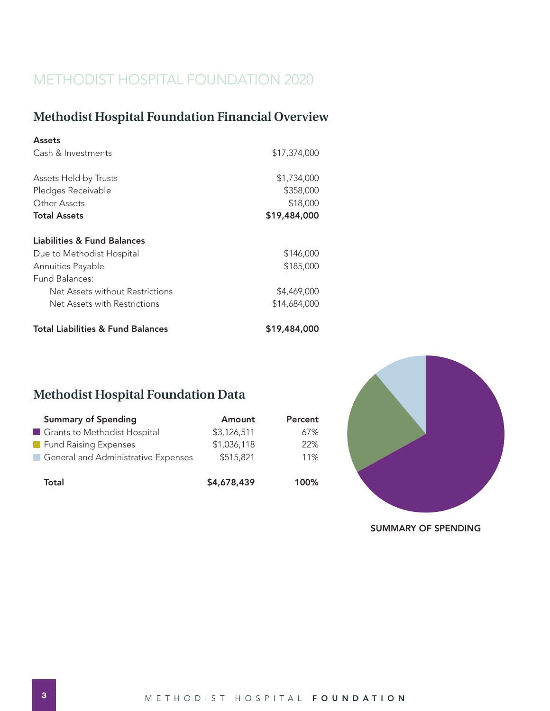## METHODIST HOSPITAL FOUNDATION 2020

## **Methodist Hospital Foundation Financial Overview**

| <b>Assets</b>                                |              |
|----------------------------------------------|--------------|
| Cash & Investments                           | \$17,374,000 |
|                                              |              |
| Assets Held by Trusts                        | \$1,734,000  |
| Pledges Receivable                           | \$358,000    |
| Other Assets                                 | \$18,000     |
| <b>Total Assets</b>                          | \$19,484,000 |
|                                              |              |
| Liabilities & Fund Balances                  |              |
| Due to Methodist Hospital                    | \$146,000    |
| Annuities Payable                            | \$185,000    |
| Fund Balances:                               |              |
| Net Assets without Restrictions              | \$4,469,000  |
| Net Assets with Restrictions                 | \$14,684,000 |
| <b>Total Liabilities &amp; Fund Balances</b> | \$19,484,000 |

## **Methodist Hospital Foundation Data**

| <b>Summary of Spending</b>                            | Amount      | Percent |
|-------------------------------------------------------|-------------|---------|
| Grants to Methodist Hospital                          | \$3,126,511 | 67%     |
| Fund Raising Expenses                                 | \$1,036,118 | 22%     |
| General and Administrative Expenses<br><b>College</b> | \$515,821   | 11%     |
| Total                                                 | \$4,678,439 | 100%    |



SUMMARY OF SPENDING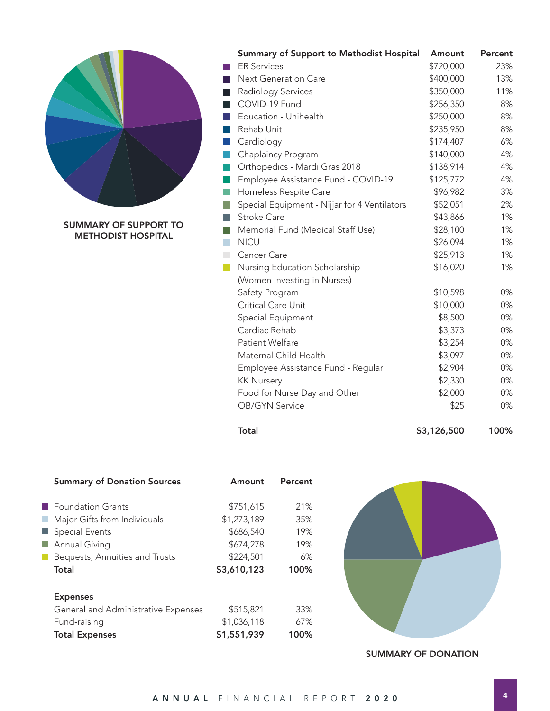

SUMMARY OF SUPPORT TO METHODIST HOSPITAL

|                             | <b>Summary of Support to Methodist Hospital</b> | Amount    | Percent |
|-----------------------------|-------------------------------------------------|-----------|---------|
|                             | <b>ER Services</b>                              | \$720,000 | 23%     |
| П                           | <b>Next Generation Care</b>                     | \$400,000 | 13%     |
| П                           | Radiology Services                              | \$350,000 | 11%     |
| $\Box$                      | COVID-19 Fund                                   | \$256,350 | 8%      |
| H                           | Education - Unihealth                           | \$250,000 | 8%      |
| l a s                       | Rehab Unit                                      | \$235,950 | 8%      |
| <b>I</b>                    | Cardiology                                      | \$174,407 | 6%      |
| M.                          | Chaplaincy Program                              | \$140,000 | 4%      |
| l a                         | Orthopedics - Mardi Gras 2018                   | \$138,914 | 4%      |
| h.                          | Employee Assistance Fund - COVID-19             | \$125,772 | 4%      |
| k.                          | Homeless Respite Care                           | \$96,982  | 3%      |
| I.                          | Special Equipment - Nijjar for 4 Ventilators    | \$52,051  | 2%      |
| D                           | <b>Stroke Care</b>                              | \$43,866  | 1%      |
| $\overline{\phantom{a}}$    | Memorial Fund (Medical Staff Use)               | \$28,100  | 1%      |
| $\mathcal{L}_{\mathcal{A}}$ | <b>NICU</b>                                     | \$26,094  | 1%      |
| $\mathcal{L}_{\mathcal{A}}$ | Cancer Care                                     | \$25,913  | 1%      |
| i i                         | Nursing Education Scholarship                   | \$16,020  | 1%      |
|                             | (Women Investing in Nurses)                     |           |         |
|                             | Safety Program                                  | \$10,598  | 0%      |
|                             | Critical Care Unit                              | \$10,000  | 0%      |
|                             | Special Equipment                               | \$8,500   | 0%      |
|                             | Cardiac Rehab                                   | \$3,373   | 0%      |
|                             | Patient Welfare                                 | \$3,254   | 0%      |
|                             | Maternal Child Health                           | \$3,097   | 0%      |
|                             | Employee Assistance Fund - Regular              | \$2,904   | 0%      |
|                             | <b>KK Nursery</b>                               | \$2,330   | 0%      |
|                             | Food for Nurse Day and Other                    | \$2,000   | 0%      |
|                             | <b>OB/GYN Service</b>                           | \$25      | 0%      |
|                             |                                                 |           |         |

Total 53,126,500 100%

| <b>Summary of Donation Sources</b>                                                                                                              | Amount                                                                         | Percent                                |
|-------------------------------------------------------------------------------------------------------------------------------------------------|--------------------------------------------------------------------------------|----------------------------------------|
| <b>E</b> Foundation Grants<br>Major Gifts from Individuals<br>Special Events<br><b>Annual Giving</b><br>Bequests, Annuities and Trusts<br>Total | \$751,615<br>\$1,273,189<br>\$686,540<br>\$674,278<br>\$224,501<br>\$3,610,123 | 21%<br>35%<br>19%<br>19%<br>6%<br>100% |
| <b>Expenses</b><br>General and Administrative Expenses<br>Fund-raising<br><b>Total Expenses</b>                                                 | \$515,821<br>\$1,036,118<br>\$1,551,939                                        | 33%<br>67%<br>100%                     |



SUMMARY OF DONATION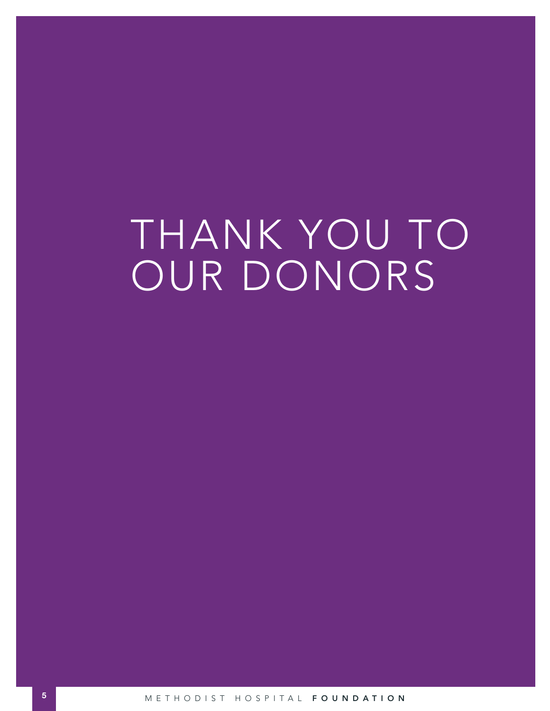# THANK YOU TO OUR DONORS

**5** METHODIST HOSPITAL FOUNDATION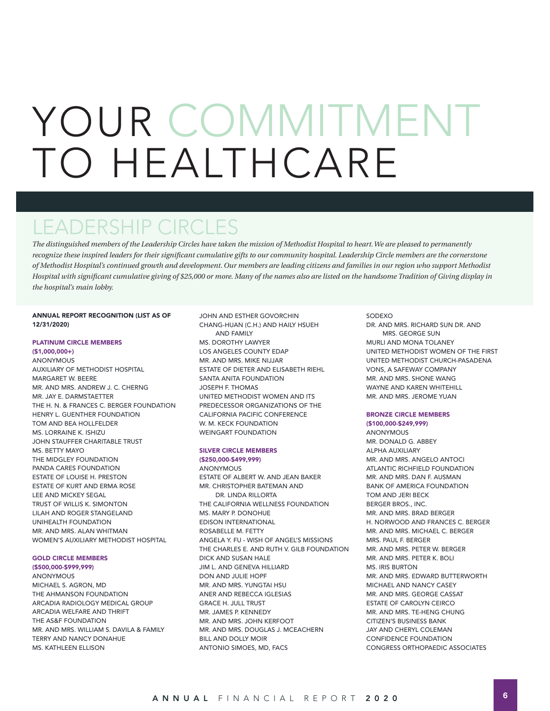# YOUR COMMITMENT O HEALTHCARE

# LEADERSHIP CIRCLES

*The distinguished members of the Leadership Circles have taken the mission of Methodist Hospital to heart. We are pleased to permanently*  recognize these inspired leaders for their significant cumulative gifts to our community hospital. Leadership Circle members are the cornerstone *of Methodist Hospital's continued growth and development. Our members are leading citizens and families in our region who support Methodist Hospital with significant cumulative giving of \$25,000 or more. Many of the names also are listed on the handsome Tradition of Giving display in the hospital's main lobby.* 

#### ANNUAL REPORT RECOGNITION (LIST AS OF 12/31/2020)

#### PLATINUM CIRCLE MEMBERS

(\$1,000,000+) ANONYMOUS AUXILIARY OF METHODIST HOSPITAL MARGARET W. BEERE MR. AND MRS. ANDREW J. C. CHERNG MR. JAY E. DARMSTAETTER THE H. N. & FRANCES C. BERGER FOUNDATION HENRY L. GUENTHER FOUNDATION TOM AND BEA HOLLFELDER MS. LORRAINE K. ISHIZU JOHN STAUFFER CHARITABLE TRUST MS. BETTY MAYO THE MIDGLEY FOUNDATION PANDA CARES FOUNDATION ESTATE OF LOUISE H. PRESTON ESTATE OF KURT AND ERMA ROSE LEE AND MICKEY SEGAL TRUST OF WILLIS K. SIMONTON LILAH AND ROGER STANGELAND UNIHEALTH FOUNDATION MR. AND MRS. ALAN WHITMAN WOMEN'S AUXILIARY METHODIST HOSPITAL

#### GOLD CIRCLE MEMBERS

(\$500,000-\$999,999) ANONYMOUS MICHAEL S. AGRON, MD THE AHMANSON FOUNDATION ARCADIA RADIOLOGY MEDICAL GROUP ARCADIA WELFARE AND THRIFT THE AS&F FOUNDATION MR. AND MRS. WILLIAM S. DAVILA & FAMILY TERRY AND NANCY DONAHUE MS. KATHLEEN ELLISON

JOHN AND ESTHER GOVORCHIN CHANG-HUAN (C.H.) AND HAILY HSUEH AND FAMILY MS. DOROTHY LAWYER LOS ANGELES COUNTY EDAP MR. AND MRS. MIKE NIJJAR ESTATE OF DIETER AND ELISABETH RIEHL SANTA ANITA FOUNDATION JOSEPH F. THOMAS UNITED METHODIST WOMEN AND ITS PREDECESSOR ORGANIZATIONS OF THE CALIFORNIA PACIFIC CONFERENCE W. M. KECK FOUNDATION WEINGART FOUNDATION

#### SILVER CIRCLE MEMBERS

(\$250,000-\$499,999) **ANONYMOUS** ESTATE OF ALBERT W. AND JEAN BAKER MR. CHRISTOPHER BATEMAN AND DR. LINDA RILLORTA THE CALIFORNIA WELLNESS FOUNDATION MS. MARY P. DONOHUE EDISON INTERNATIONAL ROSABELLE M. FETTY ANGELA Y. FU - WISH OF ANGEL'S MISSIONS THE CHARLES E. AND RUTH V. GILB FOUNDATION DICK AND SUSAN HALE JIM L. AND GENEVA HILLIARD DON AND JULIE HOPF MR. AND MRS. YUNGTAI HSU ANER AND REBECCA IGLESIAS GRACE H. JULL TRUST MR. JAMES P. KENNEDY MR. AND MRS. JOHN KERFOOT MR. AND MRS. DOUGLAS J. MCEACHERN BILL AND DOLLY MOIR ANTONIO SIMOES, MD, FACS

#### SODEXO

DR. AND MRS. RICHARD SUN DR. AND MRS. GEORGE SUN MURLI AND MONA TOLANEY UNITED METHODIST WOMEN OF THE FIRST UNITED METHODIST CHURCH-PASADENA VONS, A SAFEWAY COMPANY MR. AND MRS. SHONE WANG WAYNE AND KAREN WHITEHILL MR. AND MRS. JEROME YUAN

#### BRONZE CIRCLE MEMBERS

(\$100,000-\$249,999) **ANONYMOUS** MR. DONALD G. ABBEY ALPHA AUXILIARY MR. AND MRS. ANGELO ANTOCI ATLANTIC RICHFIELD FOUNDATION MR. AND MRS. DAN F. AUSMAN BANK OF AMERICA FOUNDATION TOM AND JERI BECK BERGER BROS., INC. MR. AND MRS. BRAD BERGER H. NORWOOD AND FRANCES C. BERGER MR. AND MRS. MICHAEL C. BERGER MRS. PAUL F. BERGER MR. AND MRS. PETER W. BERGER MR. AND MRS. PETER K. BOLI MS. IRIS BURTON MR. AND MRS. EDWARD BUTTERWORTH MICHAEL AND NANCY CASEY MR. AND MRS. GEORGE CASSAT ESTATE OF CAROLYN CEIRCO MR. AND MRS. TE-HENG CHUNG CITIZEN'S BUSINESS BANK JAY AND CHERYL COLEMAN CONFIDENCE FOUNDATION CONGRESS ORTHOPAEDIC ASSOCIATES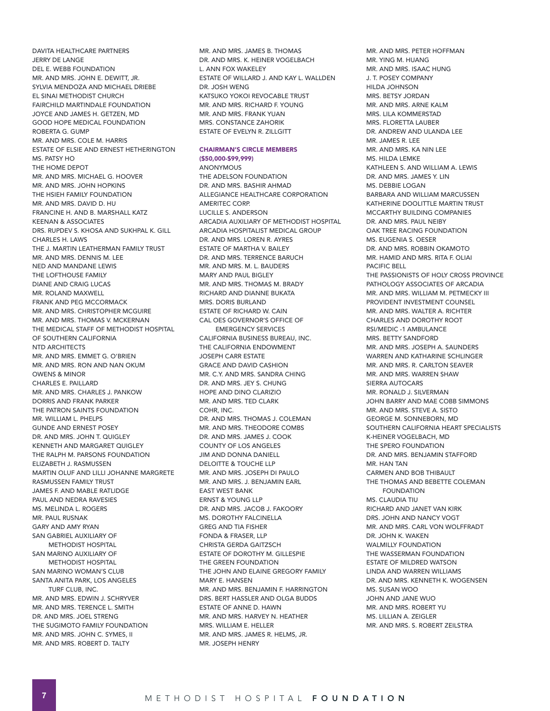DAVITA HEALTHCARE PARTNERS JERRY DE LANGE DEL E. WEBB FOUNDATION MR. AND MRS. JOHN E. DEWITT, JR. SYLVIA MENDOZA AND MICHAEL DRIEBE EL SINAI METHODIST CHURCH FAIRCHILD MARTINDALE FOUNDATION JOYCE AND JAMES H. GETZEN, MD GOOD HOPE MEDICAL FOUNDATION ROBERTA G. GUMP MR. AND MRS. COLE M. HARRIS ESTATE OF ELSIE AND ERNEST HETHERINGTON MS. PATSY HO THE HOME DEPOT MR. AND MRS. MICHAEL G. HOOVER MR. AND MRS. JOHN HOPKINS THE HSIEH FAMILY FOUNDATION MR. AND MRS. DAVID D. HU FRANCINE H. AND B. MARSHALL KATZ KEENAN & ASSOCIATES DRS. RUPDEV S. KHOSA AND SUKHPAL K. GILL CHARLES H. LAWS THE J. MARTIN LEATHERMAN FAMILY TRUST MR. AND MRS. DENNIS M. LEE NED AND MANDANE LEWIS THE LOFTHOUSE FAMILY DIANE AND CRAIG LUCAS MR. ROLAND MAXWELL FRANK AND PEG MCCORMACK MR. AND MRS. CHRISTOPHER MCGUIRE MR. AND MRS. THOMAS V. MCKERNAN THE MEDICAL STAFF OF METHODIST HOSPITAL OF SOUTHERN CALIFORNIA NTD ARCHITECTS MR. AND MRS. EMMET G. O'BRIEN MR. AND MRS. RON AND NAN OKUM OWENS & MINOR CHARLES E. PAILLARD MR. AND MRS. CHARLES J. PANKOW DORRIS AND FRANK PARKER THE PATRON SAINTS FOUNDATION MR. WILLIAM L. PHELPS GUNDE AND ERNEST POSEY DR. AND MRS. JOHN T. QUIGLEY KENNETH AND MARGARET QUIGLEY THE RALPH M. PARSONS FOUNDATION ELIZABETH J. RASMUSSEN MARTIN OLUF AND LILLI JOHANNE MARGRETE RASMUSSEN FAMILY TRUST JAMES F. AND MABLE RATLIDGE PAUL AND NEDRA RAVESIES MS. MELINDA L. ROGERS MR. PAUL RUSNAK GARY AND AMY RYAN SAN GABRIEL AUXILIARY OF METHODIST HOSPITAL SAN MARINO AUXILIARY OF METHODIST HOSPITAL SAN MARINO WOMAN'S CLUB SANTA ANITA PARK, LOS ANGELES TURF CLUB, INC. MR. AND MRS. EDWIN J. SCHRYVER MR. AND MRS. TERENCE L. SMITH DR. AND MRS. JOEL STRENG THE SUGIMOTO FAMILY FOUNDATION MR. AND MRS. JOHN C. SYMES, II MR. AND MRS. ROBERT D. TALTY

MR. AND MRS. JAMES B. THOMAS DR. AND MRS. K. HEINER VOGELBACH L. ANN FOX WAKELEY ESTATE OF WILLARD J. AND KAY L. WALLDEN DR. JOSH WENG KATSUKO YOKOI REVOCABLE TRUST MR. AND MRS. RICHARD F. YOUNG MR. AND MRS. FRANK YUAN MRS. CONSTANCE ZAHORIK ESTATE OF EVELYN R. ZILLGITT

#### CHAIRMAN'S CIRCLE MEMBERS (\$50,000-\$99,999)

ANONYMOUS THE ADELSON FOUNDATION DR. AND MRS. BASHIR AHMAD ALLEGIANCE HEALTHCARE CORPORATION AMERITEC CORP. LUCILLE S. ANDERSON ARCADIA AUXILIARY OF METHODIST HOSPITAL ARCADIA HOSPITALIST MEDICAL GROUP DR. AND MRS. LOREN R. AYRES ESTATE OF MARTHA V. BAILEY DR. AND MRS. TERRENCE BARUCH MR. AND MRS. M. L. BAUDERS MARY AND PAUL BIGLEY MR. AND MRS. THOMAS M. BRADY RICHARD AND DIANNE BUKATA MRS. DORIS BURLAND ESTATE OF RICHARD W. CAIN CAL OES GOVERNOR'S OFFICE OF EMERGENCY SERVICES CALIFORNIA BUSINESS BUREAU, INC. THE CALIFORNIA ENDOWMENT JOSEPH CARR ESTATE GRACE AND DAVID CASHION MR. C.Y. AND MRS. SANDRA CHING DR. AND MRS. JEY S. CHUNG HOPE AND DINO CLARIZIO MR. AND MRS. TED CLARK COHR, INC. DR. AND MRS. THOMAS J. COLEMAN MR. AND MRS. THEODORE COMBS DR. AND MRS. JAMES J. COOK COUNTY OF LOS ANGELES JIM AND DONNA DANIELL DELOITTE & TOUCHE LLP MR. AND MRS. JOSEPH DI PAULO MR. AND MRS. J. BENJAMIN EARL EAST WEST BANK ERNST & YOUNG LLP DR. AND MRS. JACOB J. FAKOORY MS. DOROTHY FALCINELLA GREG AND TIA FISHER FONDA & FRASER, LLP CHRISTA GERDA GAITZSCH ESTATE OF DOROTHY M. GILLESPIE THE GREEN FOUNDATION THE JOHN AND ELAINE GREGORY FAMILY MARY E. HANSEN MR. AND MRS. BENJAMIN F. HARRINGTON DRS. BERT HASSLER AND OLGA BUDDS ESTATE OF ANNE D. HAWN MR. AND MRS. HARVEY N. HEATHER MRS. WILLIAM E. HELLER MR. AND MRS. JAMES R. HELMS, JR. MR. JOSEPH HENRY

MR. AND MRS. PETER HOFFMAN MR. YING M. HUANG MR. AND MRS. ISAAC HUNG J. T. POSEY COMPANY HILDA JOHNSON MRS. BETSY JORDAN MR. AND MRS. ARNE KALM MRS. LILA KOMMERSTAD MRS. FLORETTA LAUBER DR. ANDREW AND ULANDA LEE MR. JAMES R. LEE MR. AND MRS. KA NIN LEE MS. HILDA LEMKE KATHLEEN S. AND WILLIAM A. LEWIS DR. AND MRS. JAMES Y. LIN MS. DEBBIE LOGAN BARBARA AND WILLIAM MARCUSSEN KATHERINE DOOLITTLE MARTIN TRUST MCCARTHY BUILDING COMPANIES DR. AND MRS. PAUL NEIBY OAK TREE RACING FOUNDATION MS. EUGENIA S. OESER DR. AND MRS. ROBBIN OKAMOTO MR. HAMID AND MRS. RITA F. OLIAI PACIFIC BELL THE PASSIONISTS OF HOLY CROSS PROVINCE PATHOLOGY ASSOCIATES OF ARCADIA MR. AND MRS. WILLIAM M. PETMECKY III PROVIDENT INVESTMENT COUNSEL MR. AND MRS. WALTER A. RICHTER CHARLES AND DOROTHY ROOT RSI/MEDIC -1 AMBULANCE MRS. BETTY SANDFORD MR. AND MRS. JOSEPH A. SAUNDERS WARREN AND KATHARINE SCHLINGER MR. AND MRS. R. CARLTON SEAVER MR. AND MRS. WARREN SHAW SIERRA AUTOCARS MR. RONALD J. SILVERMAN JOHN BARRY AND MAE COBB SIMMONS MR. AND MRS. STEVE A. SISTO GEORGE M. SONNEBORN, MD SOUTHERN CALIFORNIA HEART SPECIALISTS K-HEINER VOGELBACH, MD THE SPERO FOUNDATION DR. AND MRS. BENJAMIN STAFFORD MR. HAN TAN CARMEN AND BOB THIBAULT THE THOMAS AND BEBETTE COLEMAN FOUNDATION MS. CLAUDIA TIU RICHARD AND JANET VAN KIRK DRS. JOHN AND NANCY VOGT MR. AND MRS. CARL VON WOLFFRADT DR. JOHN K. WAKEN WALMILLY FOUNDATION THE WASSERMAN FOUNDATION ESTATE OF MILDRED WATSON LINDA AND WARREN WILLIAMS DR. AND MRS. KENNETH K. WOGENSEN MS. SUSAN WOO JOHN AND JANE WUO MR. AND MRS. ROBERT YU MS. LILLIAN A. ZEIGLER MR. AND MRS. S. ROBERT ZEILSTRA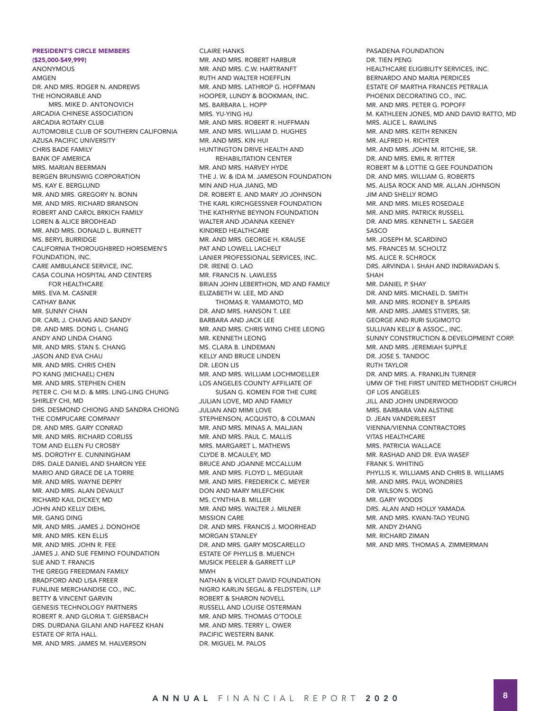(\$25,000-\$49,999) ANONYMOUS AMGEN DR. AND MRS. ROGER N. ANDREWS THE HONORABLE AND MRS. MIKE D. ANTONOVICH ARCADIA CHINESE ASSOCIATION ARCADIA ROTARY CLUB AUTOMOBILE CLUB OF SOUTHERN CALIFORNIA AZUSA PACIFIC UNIVERSITY CHRIS BADE FAMILY BANK OF AMERICA MRS. MARIAN BEERMAN BERGEN BRUNSWIG CORPORATION MS. KAY E. BERGLUND MR. AND MRS. GREGORY N. BONN MR. AND MRS. RICHARD BRANSON ROBERT AND CAROL BRKICH FAMILY LOREN & ALICE BRODHEAD MR. AND MRS. DONALD L. BURNETT MS. BERYL BURRIDGE CALIFORNIA THOROUGHBRED HORSEMEN'S FOUNDATION, INC. CARE AMBULANCE SERVICE, INC. CASA COLINA HOSPITAL AND CENTERS FOR HEALTHCARE MRS. EVA M. CASNER CATHAY BANK MR. SUNNY CHAN DR. CARL J. CHANG AND SANDY DR. AND MRS. DONG L. CHANG ANDY AND LINDA CHANG MR. AND MRS. STAN S. CHANG JASON AND EVA CHAU MR. AND MRS. CHRIS CHEN PO KANG (MICHAEL) CHEN MR. AND MRS. STEPHEN CHEN PETER C. CHI M.D. & MRS. LING-LING CHUNG SHIRLEY CHI, MD DRS. DESMOND CHIONG AND SANDRA CHIONG THE COMPUCARE COMPANY DR. AND MRS. GARY CONRAD MR. AND MRS. RICHARD CORLISS TOM AND ELLEN FU CROSBY MS. DOROTHY E. CUNNINGHAM DRS. DALE DANIEL AND SHARON YEE MARIO AND GRACE DE LA TORRE MR. AND MRS. WAYNE DEPRY MR. AND MRS. ALAN DEVAULT RICHARD KAIL DICKEY, MD JOHN AND KELLY DIEHL MR. GANG DING MR. AND MRS. JAMES J. DONOHOE MR. AND MRS. KEN ELLIS MR. AND MRS. JOHN R. FEE JAMES J. AND SUE FEMINO FOUNDATION SUE AND T. FRANCIS THE GREGG FREEDMAN FAMILY BRADFORD AND LISA FREER FUNLINE MERCHANDISE CO., INC. BETTY & VINCENT GARVIN GENESIS TECHNOLOGY PARTNERS ROBERT R. AND GLORIA T. GIERSBACH DRS. DURDANA GILANI AND HAFEEZ KHAN ESTATE OF RITA HALL

PRESIDENT'S CIRCLE MEMBERS

MR. AND MRS. JAMES M. HALVERSON

**CLAIRE HANKS** MR. AND MRS. ROBERT HARBUR MR. AND MRS. C.W. HARTRANFT RUTH AND WALTER HOEFFLIN MR. AND MRS. LATHROP G. HOFFMAN HOOPER, LUNDY & BOOKMAN, INC. MS. BARBARA L. HOPP MRS. YU-YING HU MR. AND MRS. ROBERT R. HUFFMAN MR. AND MRS. WILLIAM D. HUGHES MR. AND MRS. KIN HUI HUNTINGTON DRIVE HEALTH AND REHABILITATION CENTER MR. AND MRS. HARVEY HYDE THE J. W. & IDA M. JAMESON FOUNDATION MIN AND HUA JIANG, MD DR. ROBERT E. AND MARY JO JOHNSON THE KARL KIRCHGESSNER FOUNDATION THE KATHRYNE BEYNON FOUNDATION WAITER AND JOANNA KEENEY KINDRED HEALTHCARE MR. AND MRS. GEORGE H. KRAUSE PAT AND LOWELL LACHELT LANIER PROFESSIONAL SERVICES, INC. DR. IRENE O. LAO MR. FRANCIS N. LAWLESS BRIAN JOHN LEBERTHON, MD AND FAMILY ELIZABETH W. LEE, MD AND THOMAS R. YAMAMOTO, MD DR. AND MRS. HANSON T. LEE BARBARA AND JACK LEE MR. AND MRS. CHRIS WING CHEE LEONG MR. KENNETH LEONG MS. CLARA B. LINDEMAN KELLY AND BRUCE LINDEN DR. LEON LIS MR. AND MRS. WILLIAM LOCHMOELLER LOS ANGELES COUNTY AFFILIATE OF SUSAN G. KOMEN FOR THE CURE JULIAN LOVE, MD AND FAMILY JULIAN AND MIMI LOVE STEPHENSON, ACQUISTO, & COLMAN MR. AND MRS. MINAS A. MALJIAN MR. AND MRS. PAUL C. MALLIS MRS. MARGARET L. MATHEWS CLYDE B. MCAULEY, MD BRUCE AND JOANNE MCCALLUM MR. AND MRS. FLOYD L. MEGUIAR MR. AND MRS. FREDERICK C. MEYER DON AND MARY MILEFCHIK MS. CYNTHIA B. MILLER MR. AND MRS. WALTER J. MILNER MISSION CARE DR. AND MRS. FRANCIS J. MOORHEAD MORGAN STANLEY DR. AND MRS. GARY MOSCARELLO ESTATE OF PHYLLIS B. MUENCH MUSICK PEELER & GARRETT LLP MWH NATHAN & VIOLET DAVID FOUNDATION NIGRO KARLIN SEGAL & FELDSTEIN, LLP ROBERT & SHARON NOVELL RUSSELL AND LOUISE OSTERMAN MR. AND MRS. THOMAS O'TOOLE MR. AND MRS. TERRY L. OWER PACIFIC WESTERN BANK

PASADENA FOUNDATION DR. TIEN PENG HEALTHCARE ELIGIBILITY SERVICES, INC. BERNARDO AND MARIA PERDICES ESTATE OF MARTHA FRANCES PETRALIA PHOENIX DECORATING CO., INC. MR. AND MRS. PETER G. POPOFF M. KATHLEEN JONES, MD AND DAVID RATTO, MD MRS. ALICE L. RAWLINS MR. AND MRS. KEITH RENKEN MR. ALFRED H. RICHTER MR. AND MRS. JOHN M. RITCHIE, SR. DR. AND MRS. EMIL R. RITTER ROBERT M & LOTTIE Q GEE FOUNDATION DR. AND MRS. WILLIAM G. ROBERTS MS. ALISA ROCK AND MR. ALLAN JOHNSON JIM AND SHELLY ROMO MR. AND MRS. MILES ROSEDALE MR. AND MRS. PATRICK RUSSELL DR. AND MRS. KENNETH L. SAEGER **SASCO** MR. JOSEPH M. SCARDINO MS. FRANCES M. SCHOLTZ MS. ALICE R. SCHROCK DRS. ARVINDA I. SHAH AND INDRAVADAN S. SHAH MR. DANIEL P. SHAY DR. AND MRS. MICHAEL D. SMITH MR. AND MRS. RODNEY B. SPEARS MR. AND MRS. JAMES STIVERS, SR. GEORGE AND RURI SUGIMOTO SULLIVAN KELLY & ASSOC., INC. SUNNY CONSTRUCTION & DEVELOPMENT CORP. MR. AND MRS. JEREMIAH SUPPLE DR. JOSE S. TANDOC RUTH TAYLOR DR. AND MRS. A. FRANKLIN TURNER UMW OF THE FIRST UNITED METHODIST CHURCH OF LOS ANGELES JILL AND JOHN UNDERWOOD MRS. BARBARA VAN ALSTINE D. JEAN VANDERLEEST VIENNA/VIENNA CONTRACTORS VITAS HEALTHCARE MRS. PATRICIA WALLACE MR. RASHAD AND DR. EVA WASEF FRANK S. WHITING PHYLLIS K. WILLIAMS AND CHRIS B. WILLIAMS MR. AND MRS. PAUL WONDRIES DR. WILSON S. WONG MR. GARY WOODS DRS. ALAN AND HOLLY YAMADA MR. AND MRS. KWAN-TAO YEUNG MR. ANDY ZHANG MR. RICHARD ZIMAN MR. AND MRS. THOMAS A. ZIMMERMAN

DR. MIGUEL M. PALOS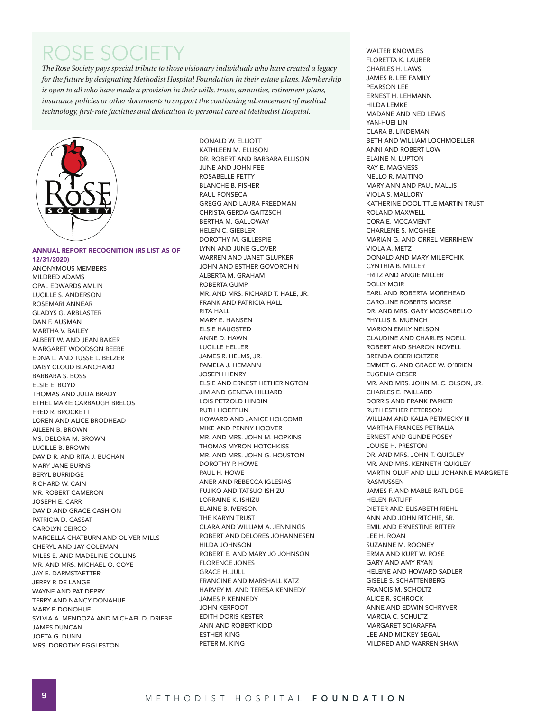# ROSE SOCIETY

*The Rose Society pays special tribute to those visionary individuals who have created a legacy for the future by designating Methodist Hospital Foundation in their estate plans. Membership is open to all who have made a provision in their wills, trusts, annuities, retirement plans, insurance policies or other documents to support the continuing advancement of medical technology, first-rate facilities and dedication to personal care at Methodist Hospital.* 



ANNUAL REPORT RECOGNITION (RS LIST AS OF

12/31/2020) ANONYMOUS MEMBERS MILDRED ADAMS OPAL EDWARDS AMLIN LUCILLE S. ANDERSON ROSEMARI ANNEAR GLADYS G. ARBLASTER DAN F. AUSMAN MARTHA V. BAILEY ALBERT W. AND JEAN BAKER MARGARET WOODSON BEERE EDNA L. AND TUSSE L. BELZER DAISY CLOUD BLANCHARD BARBARA S. BOSS ELSIE E. BOYD THOMAS AND JULIA BRADY ETHEL MARIE CARBAUGH BRELOS FRED R. BROCKETT LOREN AND ALICE BRODHEAD AILEEN B. BROWN MS. DELORA M. BROWN LUCILLE B. BROWN DAVID R. AND RITA J. BUCHAN MARY JANE BURNS BERYL BURRIDGE RICHARD W. CAIN MR. ROBERT CAMERON JOSEPH E. CARR DAVID AND GRACE CASHION PATRICIA D. CASSAT CAROLYN CEIRCO MARCELLA CHATBURN AND OLIVER MILLS CHERYL AND JAY COLEMAN MILES E. AND MADELINE COLLINS MR. AND MRS. MICHAEL O. COYE JAY E. DARMSTAETTER JERRY P. DE LANGE WAYNE AND PAT DEPRY TERRY AND NANCY DONAHUE MARY P. DONOHUE SYLVIA A. MENDOZA AND MICHAEL D. DRIEBE JAMES DUNCAN JOETA G. DUNN MRS. DOROTHY EGGLESTON

DONALD W. ELLIOTT KATHLEEN M. ELLISON DR. ROBERT AND BARBARA ELLISON JUNE AND JOHN FEE ROSABELLE FETTY BLANCHE B. FISHER RAUL FONSECA GREGG AND LAURA FREEDMAN CHRISTA GERDA GAITZSCH BERTHA M. GALLOWAY HELEN C. GIEBLER DOROTHY M. GILLESPIE LYNN AND JUNE GLOVER WARREN AND JANET GLUPKER JOHN AND ESTHER GOVORCHIN ALBERTA M. GRAHAM ROBERTA GUMP MR. AND MRS. RICHARD T. HALE, JR. FRANK AND PATRICIA HALL RITA HALL MARY E. HANSEN ELSIE HAUGSTED ANNE D. HAWN LUCILLE HELLER JAMES R. HELMS, JR. PAMELA J. HEMANN JOSEPH HENRY ELSIE AND ERNEST HETHERINGTON JIM AND GENEVA HILLIARD LOIS PETZOLD HINDIN RUTH HOEFFLIN HOWARD AND JANICE HOLCOMB MIKE AND PENNY HOOVER MR. AND MRS. JOHN M. HOPKINS THOMAS MYRON HOTCHKISS MR. AND MRS. JOHN G. HOUSTON DOROTHY P. HOWE PAUL H. HOWE ANER AND REBECCA IGLESIAS FUJIKO AND TATSUO ISHIZU LORRAINE K. ISHIZU ELAINE B. IVERSON THE KARYN TRUST CLARA AND WILLIAM A. JENNINGS ROBERT AND DELORES JOHANNESEN HILDA JOHNSON ROBERT E. AND MARY JO JOHNSON FLORENCE JONES GRACE H. JULL FRANCINE AND MARSHALL KATZ HARVEY M. AND TERESA KENNEDY JAMES P. KENNEDY JOHN KERFOOT EDITH DORIS KESTER ANN AND ROBERT KIDD ESTHER KING PETER M. KING

WALTER KNOWLES FLORETTA K. LAUBER CHARLES H. LAWS JAMES R. LEE FAMILY PEARSON LEE ERNEST H. LEHMANN HILDA LEMKE MADANE AND NED LEWIS YAN-HUEI LIN CLARA B. LINDEMAN BETH AND WILLIAM LOCHMOELLER ANNI AND ROBERT LOW ELAINE N. LUPTON RAY E. MAGNESS NELLO R. MAITINO MARY ANN AND PAUL MALLIS VIOLA S. MALLORY KATHERINE DOOLITTLE MARTIN TRUST ROLAND MAXWELL CORA E. MCCAMENT CHARLENE S. MCGHEE MARIAN G. AND ORREL MERRIHEW VIOLA A. METZ DONALD AND MARY MILEFCHIK CYNTHIA B. MILLER FRITZ AND ANGIE MILLER DOLLY MOIR EARL AND ROBERTA MOREHEAD CAROLINE ROBERTS MORSE DR. AND MRS. GARY MOSCARELLO PHYLLIS B. MUENCH MARION EMILY NELSON CLAUDINE AND CHARLES NOELL ROBERT AND SHARON NOVELL BRENDA OBERHOLTZER EMMET G. AND GRACE W. O'BRIEN EUGENIA OESER MR. AND MRS. JOHN M. C. OLSON, JR. CHARLES E. PAILLARD DORRIS AND FRANK PARKER RUTH ESTHER PETERSON WILLIAM AND KALIA PETMECKY III MARTHA FRANCES PETRALIA ERNEST AND GUNDE POSEY LOUISE H. PRESTON DR. AND MRS. JOHN T. QUIGLEY MR. AND MRS. KENNETH QUIGLEY MARTIN OLUF AND LILLI JOHANNE MARGRETE RASMUSSEN JAMES F. AND MABLE RATLIDGE HELEN RATLIFF DIETER AND ELISABETH RIEHL ANN AND JOHN RITCHIE, SR. EMIL AND ERNESTINE RITTER LEE H. ROAN SUZANNE M. ROONEY ERMA AND KURT W. ROSE GARY AND AMY RYAN HELENE AND HOWARD SADLER GISELE S. SCHATTENBERG FRANCIS M. SCHOLTZ ALICE R. SCHROCK ANNE AND EDWIN SCHRYVER MARCIA C. SCHULTZ MARGARET SCIARAFFA LEE AND MICKEY SEGAL MILDRED AND WARREN SHAW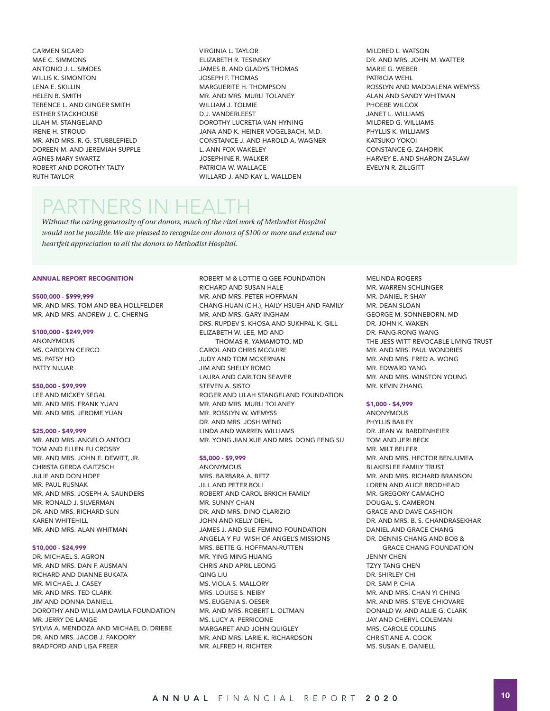CARMEN SICARD MAE C. SIMMONS ANTONIO J. L. SIMOES WILLIS K. SIMONTON LENA E. SKILLIN HELEN B. SMITH TERENCE L. AND GINGER SMITH ESTHER STACKHOUSE LILAH M. STANGELAND IRENE H. STROUD MR. AND MRS. R. G. STUBBLEFIELD DOREEN M. AND JEREMIAH SUPPLE AGNES MARY SWARTZ ROBERT AND DOROTHY TALTY RUTH TAYLOR

VIRGINIA L. TAYLOR ELIZABETH R. TESINSKY JAMES B. AND GLADYS THOMAS JOSEPH F. THOMAS MARGUERITE H. THOMPSON MR. AND MRS. MURLI TOLANEY WILLIAM J. TOLMIE D.J. VANDERLEEST DOROTHY LUCRETIA VAN HYNING JANA AND K. HEINER VOGELBACH, M.D. CONSTANCE J. AND HAROLD A. WAGNER L. ANN FOX WAKELEY JOSEPHINE R. WALKER PATRICIA W. WALLACE WILLARD J. AND KAY L. WALLDEN

MILDRED L. WATSON DR. AND MRS. JOHN M. WATTER MARIE G. WEBER PATRICIA WEHL ROSSLYN AND MADDALENA WEMYSS ALAN AND SANDY WHITMAN PHOEBE WILCOX JANET L. WILLIAMS MILDRED G. WILLIAMS PHYLLIS K. WILLIAMS KATSUKO YOKOI CONSTANCE G. ZAHORIK HARVEY E. AND SHARON ZASLAW EVELYN R. ZILLGITT

## PARTNERS IN HEALTH

*Without the caring generosity of our donors, much of the vital work of Methodist Hospital would not be possible. We are pleased to recognize our donors of \$100 or more and extend our heartfelt appreciation to all the donors to Methodist Hospital.* 

#### ANNUAL REPORT RECOGNITION

#### \$500,000 - \$999,999

MR. AND MRS. TOM AND BEA HOLLFELDER MR. AND MRS. ANDREW J. C. CHERNG

#### \$100,000 - \$249,999

ANONYMOUS MS. CAROLYN CEIRCO MS. PATSY HO PATTY NIJJAR

#### \$50,000 - \$99,999

LEE AND MICKEY SEGAL MR. AND MRS. FRANK YUAN MR. AND MRS. JEROME YUAN

#### \$25,000 - \$49,999

MR. AND MRS. ANGELO ANTOCI TOM AND ELLEN FU CROSBY MR. AND MRS. JOHN E. DEWITT, JR. CHRISTA GERDA GAITZSCH JULIE AND DON HOPF MR. PAUL RUSNAK MR. AND MRS. JOSEPH A. SAUNDERS MR. RONALD J. SILVERMAN DR. AND MRS. RICHARD SUN KAREN WHITEHILL MR. AND MRS. ALAN WHITMAN

#### \$10,000 - \$24,999

DR. MICHAEL S. AGRON MR. AND MRS. DAN F. AUSMAN RICHARD AND DIANNE BUKATA MR. MICHAEL J. CASEY MR. AND MRS. TED CLARK JIM AND DONNA DANIELL DOROTHY AND WILLIAM DAVILA FOUNDATION MR. JERRY DE LANGE SYLVIA A. MENDOZA AND MICHAEL D. DRIEBE DR. AND MRS. JACOB J. FAKOORY BRADFORD AND LISA FREER

ROBERT M & LOTTIE Q GEE FOUNDATION RICHARD AND SUSAN HALE MR. AND MRS. PETER HOFFMAN CHANG-HUAN (C.H.), HAILY HSUEH AND FAMILY MR. AND MRS. GARY INGHAM DRS. RUPDEV S. KHOSA AND SUKHPAL K. GILL ELIZABETH W. LEE, MD AND THOMAS R. YAMAMOTO, MD CAROL AND CHRIS MCGUIRE JUDY AND TOM MCKERNAN JIM AND SHELLY ROMO LAURA AND CARLTON SEAVER STEVEN A. SISTO ROGER AND LILAH STANGELAND FOUNDATION MR. AND MRS. MURLI TOLANEY MR. ROSSLYN W. WEMYSS DR. AND MRS. JOSH WENG LINDA AND WARREN WILLIAMS MR. YONG JIAN XUE AND MRS. DONG FENG SU

#### \$5,000 - \$9,999

ANONYMOUS MRS. BARBARA A. BETZ JILL AND PETER BOLI ROBERT AND CAROL BRKICH FAMILY MR. SUNNY CHAN DR. AND MRS. DINO CLARIZIO JOHN AND KELLY DIEHL JAMES J. AND SUE FEMINO FOUNDATION ANGELA Y FU WISH OF ANGEL'S MISSIONS MRS. BETTE G. HOFFMAN-RUTTEN MR. YING MING HUANG CHRIS AND APRIL LEONG QING LIU MS. VIOLA S. MALLORY MRS. LOUISE S. NEIBY MS. EUGENIA S. OESER MR. AND MRS. ROBERT L. OLTMAN MS. LUCY A. PERRICONE MARGARET AND JOHN QUIGLEY MR. AND MRS. LARIE K. RICHARDSON MR. ALFRED H. RICHTER

MELINDA ROGERS MR. WARREN SCHLINGER MR. DANIEL P. SHAY MR. DEAN SLOAN GEORGE M. SONNEBORN, MD DR. JOHN K. WAKEN DR. FANG-RONG WANG THE JESS WITT REVOCABLE LIVING TRUST MR. AND MRS. PAUL WONDRIES MR. AND MRS. FRED A. WONG MR. EDWARD YANG MR. AND MRS. WINSTON YOUNG MR. KEVIN ZHANG

#### \$1,000 - \$4,999

ANONYMOUS PHYLLIS BAILEY DR. JEAN W. BARDENHEIER TOM AND JERI BECK MR. MILT BELFER MR. AND MRS. HECTOR BENJUMEA BLAKESLEE FAMILY TRUST MR. AND MRS. RICHARD BRANSON LOREN AND ALICE BRODHEAD MR. GREGORY CAMACHO DOUGAL S. CAMERON GRACE AND DAVE CASHION DR. AND MRS. B. S. CHANDRASEKHAR DANIEL AND GRACE CHANG DR. DENNIS CHANG AND BOB & GRACE CHANG FOUNDATION JENNY CHEN TZYY TANG CHEN DR. SHIRLEY CHI DR. SAM P. CHIA MR. AND MRS. CHAN YI CHING MR. AND MRS. STEVE CHIOVARE DONALD W. AND ALLIE G. CLARK JAY AND CHERYL COLEMAN MRS. CAROLE COLLINS CHRISTIANE A. COOK MS. SUSAN E. DANIELL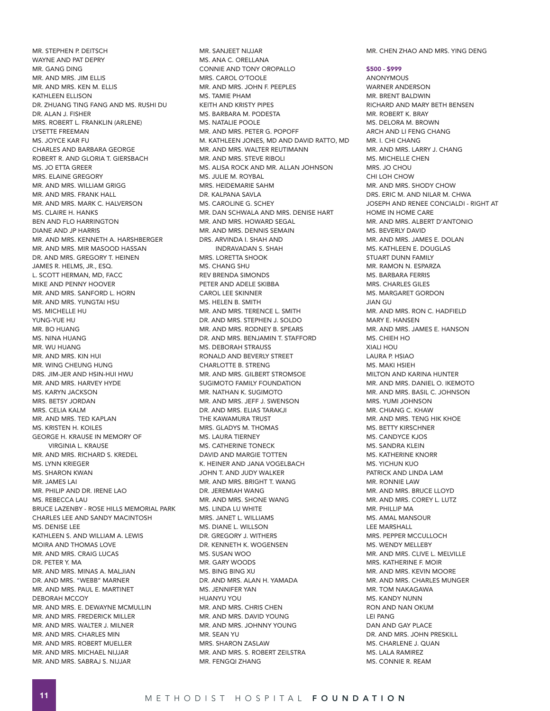MR. STEPHEN P. DEITSCH WAYNE AND PAT DEPRY MR. GANG DING MR. AND MRS. JIM ELLIS MR. AND MRS. KEN M. ELLIS KATHLEEN ELLISON DR. ZHUANG TING FANG AND MS. RUSHI DU DR. ALAN J. FISHER MRS. ROBERT L. FRANKLIN (ARLENE) LYSETTE FREEMAN MS. JOYCE KAR FU CHARLES AND BARBARA GEORGE ROBERT R. AND GLORIA T. GIERSBACH MS. JO ETTA GREER MRS. ELAINE GREGORY MR. AND MRS. WILLIAM GRIGG MR. AND MRS. FRANK HALL MR. AND MRS. MARK C. HALVERSON MS. CLAIRE H. HANKS BEN AND FLO HARRINGTON DIANE AND JP HARRIS MR. AND MRS. KENNETH A. HARSHBERGER MR. AND MRS. MIR MASOOD HASSAN DR. AND MRS. GREGORY T. HEINEN JAMES R. HELMS, JR., ESQ. L. SCOTT HERMAN, MD, FACC MIKE AND PENNY HOOVER MR. AND MRS. SANFORD L. HORN MR. AND MRS. YUNGTAI HSU MS. MICHELLE HU YUNG-YUE HU MR. BO HUANG MS. NINA HUANG MR. WU HUANG MR. AND MRS. KIN HUI MR. WING CHEUNG HUNG DRS. JIM-JER AND HSIN-HUI HWU MR. AND MRS. HARVEY HYDE MS. KARYN JACKSON MRS. BETSY JORDAN MRS. CELIA KALM MR. AND MRS. TED KAPLAN MS. KRISTEN H. KOILES GEORGE H. KRAUSE IN MEMORY OF VIRGINIA L. KRAUSE MR. AND MRS. RICHARD S. KREDEL MS. LYNN KRIEGER MS. SHARON KWAN MR. JAMES LAI MR. PHILIP AND DR. IRENE LAO MS. REBECCA LAU BRUCE LAZENBY - ROSE HILLS MEMORIAL PARK CHARLES LEE AND SANDY MACINTOSH MS. DENISE LEE KATHLEEN S. AND WILLIAM A. LEWIS MOIRA AND THOMAS LOVE MR. AND MRS. CRAIG LUCAS DR. PETER Y. MA MR. AND MRS. MINAS A. MALJIAN DR. AND MRS. "WEBB" MARNER MR. AND MRS. PAUL E. MARTINET DEBORAH MCCOY MR. AND MRS. E. DEWAYNE MCMULLIN MR. AND MRS. FREDERICK MILLER MR. AND MRS. WALTER J. MILNER MR. AND MRS. CHARLES MIN MR. AND MRS. ROBERT MUELLER MR. AND MRS. MICHAEL NIJJAR MR. AND MRS. SABRAJ S. NIJJAR

MS. ANA C. ORELLANA CONNIE AND TONY OROPALLO MRS. CAROL O'TOOLE MR. AND MRS. JOHN F. PEEPLES MS. TAMIE PHAM KEITH AND KRISTY PIPES MS. BARBARA M. PODESTA MS. NATALIE POOLE MR. AND MRS. PETER G. POPOFF M. KATHLEEN JONES, MD AND DAVID RATTO, MD MR. AND MRS. WALTER REUTIMANN MR. AND MRS. STEVE RIBOLI MS. ALISA ROCK AND MR. ALLAN JOHNSON MS. JULIE M. ROYBAL MRS. HEIDEMARIE SAHM DR. KALPANA SAVLA MS. CAROLINE G. SCHEY MR. DAN SCHWALA AND MRS. DENISE HART MR. AND MRS. HOWARD SEGAL MR. AND MRS. DENNIS SEMAIN DRS. ARVINDA I. SHAH AND INDRAVADAN S. SHAH MRS. LORETTA SHOOK MS. CHANG SHU REV BRENDA SIMONDS PETER AND ADELE SKIBBA CAROL LEE SKINNER MS. HELEN B. SMITH MR. AND MRS. TERENCE L. SMITH DR. AND MRS. STEPHEN J. SOLDO MR. AND MRS. RODNEY B. SPEARS DR. AND MRS. BENJAMIN T. STAFFORD MS. DEBORAH STRAUSS RONALD AND BEVERLY STREET CHARLOTTE B. STRENG MR. AND MRS. GILBERT STROMSOE SUGIMOTO FAMILY FOUNDATION MR. NATHAN K. SUGIMOTO MR. AND MRS. JEFF J. SWENSON DR. AND MRS. ELIAS TARAKJI THE KAWAMURA TRUST MRS. GLADYS M. THOMAS MS. LAURA TIERNEY MS. CATHERINE TONECK DAVID AND MARGIE TOTTEN K. HEINER AND JANA VOGELBACH JOHN T. AND JUDY WALKER MR. AND MRS. BRIGHT T. WANG DR. JEREMIAH WANG MR. AND MRS. SHONE WANG MS. LINDA LU WHITE MRS. JANET L. WILLIAMS MS. DIANE L. WILLSON DR. GREGORY J. WITHERS DR. KENNETH K. WOGENSEN MS. SUSAN WOO MR. GARY WOODS MS. BING BING XU DR. AND MRS. ALAN H. YAMADA MS. JENNIFER YAN HUANYU YOU MR. AND MRS. CHRIS CHEN MR. AND MRS. DAVID YOUNG MR. AND MRS. JOHNNY YOUNG MR. SEAN YU MRS. SHARON ZASLAW MR. AND MRS. S. ROBERT ZEILSTRA MR. FENGQI ZHANG

MR. SANJEET NIJJAR

MR. CHEN ZHAO AND MRS. YING DENG

\$500 - \$999

ANONYMOUS WARNER ANDERSON MR. BRENT BALDWIN RICHARD AND MARY BETH BENSEN MR. ROBERT K. BRAY MS. DELORA M. BROWN ARCH AND LI FENG CHANG MR. I. CHI CHANG MR. AND MRS. LARRY J. CHANG MS. MICHELLE CHEN MRS. JO CHOU CHI LOH CHOW MR. AND MRS. SHODY CHOW DRS. ERIC M. AND NILAR M. CHWA JOSEPH AND RENEE CONCIALDI - RIGHT AT HOME IN HOME CARE MR. AND MRS. ALBERT D'ANTONIO MS. BEVERLY DAVID MR. AND MRS. JAMES E. DOLAN MS. KATHLEEN E. DOUGLAS STUART DUNN FAMILY MR. RAMON N. ESPARZA MS. BARBARA FERRIS MRS. CHARLES GILES MS. MARGARET GORDON JIAN GU MR. AND MRS. RON C. HADFIELD MARY E. HANSEN MR. AND MRS. JAMES E. HANSON MS. CHIEH HO XIALI HOU LAURA P. HSIAO MS. MAKI HSIEH MILTON AND KARINA HUNTER MR. AND MRS. DANIEL O. IKEMOTO MR. AND MRS. BASIL C. JOHNSON MRS. YUMI JOHNSON MR. CHIANG C. KHAW MR. AND MRS. TENG HIK KHOE MS. BETTY KIRSCHNER MS. CANDYCE KJOS MS. SANDRA KLEIN MS. KATHERINE KNORR MS. YICHUN KUO PATRICK AND LINDA LAM MR. RONNIE LAW MR. AND MRS. BRUCE LLOYD MR. AND MRS. COREY L. LUTZ MR. PHILLIP MA MS. AMAL MANSOUR LEE MARSHALL MRS. PEPPER MCCULLOCH MS. WENDY MELLEBY MR. AND MRS. CLIVE L. MELVILLE MRS. KATHERINE F. MOIR MR. AND MRS. KEVIN MOORE MR. AND MRS. CHARLES MUNGER MR. TOM NAKAGAWA MS. KANDY NUNN RON AND NAN OKUM LEI PANG DAN AND GAY PLACE DR. AND MRS. JOHN PRESKILL MS. CHARLENE J. QUAN MS. LALA RAMIREZ MS. CONNIE R. REAM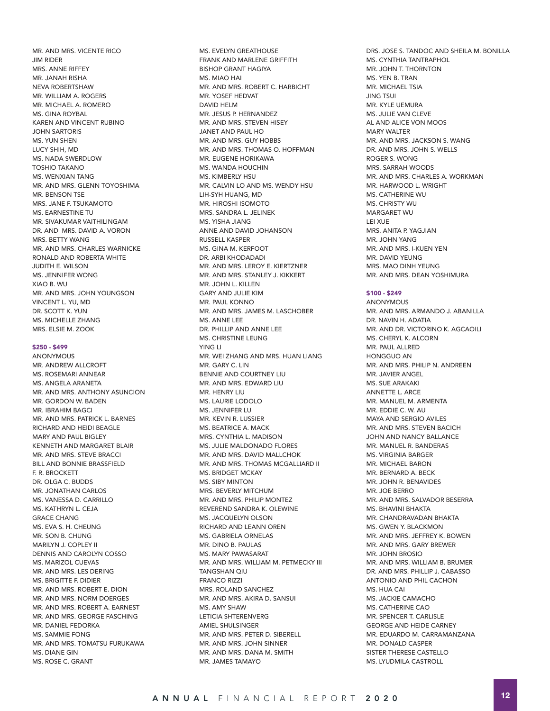MR. AND MRS. VICENTE RICO JIM RIDER MRS. ANNE RIFFEY MR. JANAH RISHA NEVA ROBERTSHAW MR. WILLIAM A. ROGERS MR. MICHAEL A. ROMERO MS. GINA ROYBAL KAREN AND VINCENT RUBINO JOHN SARTORIS MS. YUN SHEN LUCY SHIH, MD MS. NADA SWERDLOW TOSHIO TAKANO MS. WENXIAN TANG MR. AND MRS. GLENN TOYOSHIMA MR. BENSON TSE MRS. JANE F. TSUKAMOTO MS. EARNESTINE TU MR. SIVAKUMAR VAITHILINGAM DR. AND MRS. DAVID A. VORON MRS. BETTY WANG MR. AND MRS. CHARLES WARNICKE RONALD AND ROBERTA WHITE JUDITH E. WILSON MS. JENNIFER WONG XIAO B. WU MR. AND MRS. JOHN YOUNGSON VINCENT L. YU, MD DR. SCOTT K. YUN MS. MICHELLE ZHANG MRS. ELSIE M. ZOOK

#### \$250 - \$499

**ANONYMOUS** MR. ANDREW ALLCROFT MS. ROSEMARI ANNEAR MS. ANGELA ARANETA MR. AND MRS. ANTHONY ASUNCION MR. GORDON W. BADEN MR. IBRAHIM BAGCI MR. AND MRS. PATRICK L. BARNES RICHARD AND HEIDI BEAGLE MARY AND PAUL BIGLEY KENNETH AND MARGARET BLAIR MR. AND MRS. STEVE BRACCI BILL AND BONNIE BRASSFIELD F. R. BROCKETT DR. OLGA C. BUDDS MR. JONATHAN CARLOS MS. VANESSA D. CARRILLO MS. KATHRYN L. CEJA GRACE CHANG MS. EVA S. H. CHEUNG MR. SON B. CHUNG MARILYN J. COPLEY II DENNIS AND CAROLYN COSSO MS. MARIZOL CUEVAS MR. AND MRS. LES DERING MS. BRIGITTE F. DIDIER MR. AND MRS. ROBERT E. DION MR. AND MRS. NORM DOERGES MR. AND MRS. ROBERT A. EARNEST MR. AND MRS. GEORGE FASCHING MR. DANIEL FEDORKA MS. SAMMIE FONG MR. AND MRS. TOMATSU FURUKAWA MS. DIANE GIN MS. ROSE C. GRANT

MS. EVELYN GREATHOUSE FRANK AND MARLENE GRIFFITH BISHOP GRANT HAGIYA MS. MIAO HAI MR. AND MRS. ROBERT C. HARBICHT MR. YOSEF HEDVAT DAVID HELM MR. JESUS P. HERNANDEZ MR. AND MRS. STEVEN HISEY JANET AND PAUL HO MR. AND MRS. GUY HOBBS MR. AND MRS. THOMAS O. HOFFMAN MR. EUGENE HORIKAWA MS. WANDA HOUCHIN MS. KIMBERLY HSU MR. CALVIN LO AND MS. WENDY HSU LIH-SYH HUANG, MD MR. HIROSHI ISOMOTO MRS. SANDRA L. JELINEK MS. YISHA JIANG ANNE AND DAVID JOHANSON RUSSELL KASPER MS. GINA M. KERFOOT DR. ARBI KHODADADI MR. AND MRS. LEROY E. KIERTZNER MR. AND MRS. STANLEY J. KIKKERT MR. JOHN L. KILLEN GARY AND JULIE KIM MR PAUL KONNO MR. AND MRS. JAMES M. LASCHOBER MS. ANNE LEE DR. PHILLIP AND ANNE LEE MS. CHRISTINE LEUNG YING LI MR. WEI ZHANG AND MRS. HUAN LIANG MR. GARY C. LIN BENNIE AND COURTNEY LIU MR. AND MRS. EDWARD LIU MR. HENRY LIU MS. LAURIE LODOLO MS. JENNIFER LU MR. KEVIN R. LUSSIER MS. BEATRICE A. MACK MRS. CYNTHIA L. MADISON MS. JULIE MALDONADO FLORES MR. AND MRS. DAVID MALLCHOK MR. AND MRS. THOMAS MCGALLIARD II MS. BRIDGET MCKAY MS. SIBY MINTON MRS. BEVERLY MITCHUM MR. AND MRS. PHILIP MONTEZ REVEREND SANDRA K. OLEWINE MS. JACQUELYN OLSON RICHARD AND LEANN OREN MS. GABRIELA ORNELAS MR. DINO B. PAULAS MS. MARY PAWASARAT MR. AND MRS. WILLIAM M. PETMECKY III TANGSHAN QIU FRANCO RIZZI MRS. ROLAND SANCHEZ MR. AND MRS. AKIRA D. SANSUI MS. AMY SHAW LETICIA SHTERENVERG AMIEL SHULSINGER MR. AND MRS. PETER D. SIBERELL MR. AND MRS. JOHN SINNER MR. AND MRS. DANA M. SMITH MR. JAMES TAMAYO

DRS. JOSE S. TANDOC AND SHEILA M. BONILLA MS. CYNTHIA TANTRAPHOL MR. JOHN T. THORNTON MS. YEN B. TRAN MR. MICHAEL TSIA JING TSUI MR. KYLE UEMURA MS. JULIE VAN CLEVE AL AND ALICE VON MOOS MARY WALTER MR. AND MRS. JACKSON S. WANG DR. AND MRS. JOHN S. WELLS ROGER S. WONG MRS. SARRAH WOODS MR. AND MRS. CHARLES A. WORKMAN MR. HARWOOD L. WRIGHT MS. CATHERINE WU MS. CHRISTY WU MARGARET WU LEI XUE MRS. ANITA P. YAGJIAN MR. JOHN YANG MR. AND MRS. I-KUEN YEN MR. DAVID YEUNG MRS. MAO DINH YEUNG MR. AND MRS. DEAN YOSHIMURA

#### \$100 - \$249

**ANONYMOUS** MR. AND MRS. ARMANDO J. ABANILLA DR. NAVIN H. ADATIA MR. AND DR. VICTORINO K. AGCAOILI MS. CHERYL K. ALCORN MR. PAUL ALLRED HONGGUO AN MR. AND MRS. PHILIP N. ANDREEN MR. JAVIER ANGEL MS. SUE ARAKAKI ANNETTE L. ARCE MR. MANUEL M. ARMENTA MR. EDDIE C. W. AU MAYA AND SERGIO AVILES MR. AND MRS. STEVEN BACICH JOHN AND NANCY BALLANCE MR. MANUEL R. BANDERAS MS. VIRGINIA BARGER MR. MICHAEL BARON MR. BERNARD A. BECK MR. JOHN R. BENAVIDES MR. JOE BERRO MR. AND MRS. SALVADOR BESERRA MS. BHAVINI BHAKTA MR. CHANDRAVADAN BHAKTA MS. GWEN Y. BLACKMON MR. AND MRS. JEFFREY K. BOWEN MR. AND MRS. GARY BREWER MR. JOHN BROSIO MR. AND MRS. WILLIAM B. BRUMER DR. AND MRS. PHILLIP J. CABASSO ANTONIO AND PHIL CACHON MS. HUA CAI MS. JACKIE CAMACHO MS. CATHERINE CAO MR. SPENCER T. CARLISLE GEORGE AND HEIDE CARNEY MR. EDUARDO M. CARRAMANZANA MR. DONALD CASPER SISTER THERESE CASTELLO MS. LYUDMILA CASTROLL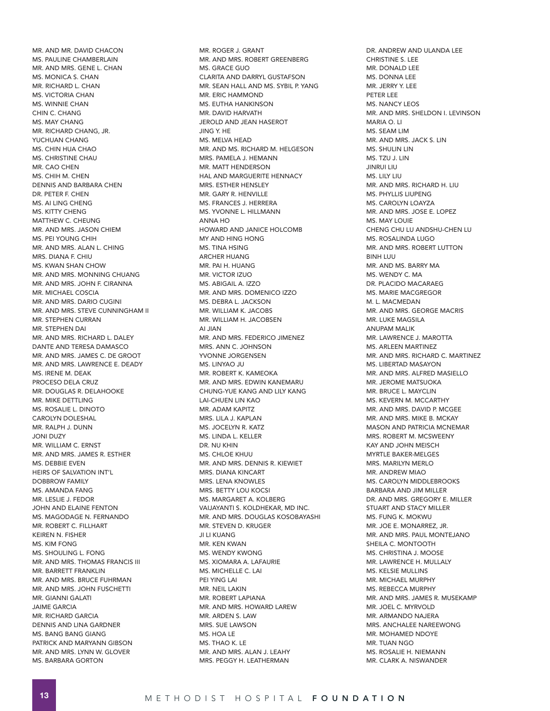MR. AND MR. DAVID CHACON MS. PAULINE CHAMBERLAIN MR. AND MRS. GENE L. CHAN MS. MONICA S. CHAN MR. RICHARD L. CHAN MS. VICTORIA CHAN MS. WINNIE CHAN CHIN C. CHANG MS. MAY CHANG MR. RICHARD CHANG, JR. YUCHUAN CHANG MS. CHIN HUA CHAO MS. CHRISTINE CHAU MR. CAO CHEN MS. CHIH M. CHEN DENNIS AND BARBARA CHEN DR. PETER F. CHEN MS. ALLING CHENG MS. KITTY CHENG MATTHEW C. CHEUNG MR. AND MRS. JASON CHIEM MS. PEI YOUNG CHIH MR. AND MRS. ALAN L. CHING MRS. DIANA F. CHIU MS. KWAN SHAN CHOW MR. AND MRS. MONNING CHUANG MR. AND MRS. JOHN F. CIRANNA MR. MICHAEL COSCIA MR. AND MRS. DARIO CUGINI MR. AND MRS. STEVE CUNNINGHAM II MR. STEPHEN CURRAN MR. STEPHEN DAI MR. AND MRS. RICHARD L. DALEY DANTE AND TERESA DAMASCO MR. AND MRS. JAMES C. DE GROOT MR. AND MRS. LAWRENCE E. DEADY MS. IRENE M. DEAK PROCESO DELA CRUZ MR. DOUGLAS R. DELAHOOKE MR. MIKE DETTLING MS. ROSALIE L. DINOTO CAROLYN DOLESHAL MR. RALPH J. DUNN JONI DUZY MR. WILLIAM C. ERNST MR. AND MRS. JAMES R. ESTHER MS. DEBBIE EVEN HEIRS OF SALVATION INT'L DOBBROW FAMILY MS. AMANDA FANG MR. LESLIE J. FEDOR JOHN AND ELAINE FENTON MS. MAGODAGE N. FERNANDO MR. ROBERT C. FILLHART KEIREN N. FISHER MS. KIM FONG MS. SHOULING L. FONG MR. AND MRS. THOMAS FRANCIS III MR. BARRETT FRANKLIN MR. AND MRS. BRUCE FUHRMAN MR. AND MRS. JOHN FUSCHETTI MR. GIANNI GALATI JAIME GARCIA MR. RICHARD GARCIA DENNIS AND LINA GARDNER MS. BANG BANG GIANG PATRICK AND MARYANN GIBSON MR. AND MRS. LYNN W. GLOVER MS. BARBARA GORTON

MR. ROGER J. GRANT MR. AND MRS. ROBERT GREENBERG MS. GRACE GUO CLARITA AND DARRYL GUSTAFSON MR. SEAN HALL AND MS. SYBIL P. YANG MR. ERIC HAMMOND MS. EUTHA HANKINSON MR. DAVID HARVATH JEROLD AND JEAN HASEROT JING Y. HE MS. MELVA HEAD MR. AND MS. RICHARD M. HELGESON MRS. PAMELA J. HEMANN MR. MATT HENDERSON HAL AND MARGUERITE HENNACY MRS. ESTHER HENSLEY MR. GARY R. HENVILLE MS. FRANCES J. HERRERA MS. YVONNE L. HILLMANN ANNA HO HOWARD AND JANICE HOLCOMB MY AND HING HONG MS. TINA HSING ARCHER HUANG MR. PAI H. HUANG MR. VICTOR IZUO MS. ABIGAIL A. IZZO MR. AND MRS. DOMENICO IZZO MS. DEBRA L. JACKSON MR. WILLIAM K. JACOBS MR. WILLIAM H. JACOBSEN AI JIAN MR. AND MRS. FEDERICO JIMENEZ MRS. ANN C. JOHNSON YVONNE JORGENSEN MS. LINYAO JU MR. ROBERT K. KAMEOKA MR. AND MRS. EDWIN KANEMARU CHUNG-YUE KANG AND LILY KANG LAI-CHUEN LIN KAO MR. ADAM KAPITZ MRS. LILA J. KAPLAN MS. JOCELYN R. KATZ MS. LINDA L. KELLER DR. NU KHIN MS. CHLOE KHUU MR. AND MRS. DENNIS R. KIEWIET MRS. DIANA KINCART MRS. LENA KNOWLES MRS. BETTY LOU KOCSI MS. MARGARET A. KOLBERG VAIJAYANTI S. KOLDHEKAR, MD INC. MR. AND MRS. DOUGLAS KOSOBAYASHI MR. STEVEN D. KRUGER JI LI KUANG MR. KEN KWAN MS. WENDY KWONG MS. XIOMARA A. LAFAURIE MS. MICHELLE C. LAI PEI YING LAI MR. NEIL LAKIN MR. ROBERT LAPIANA MR. AND MRS. HOWARD LAREW MR. ARDEN S. LAW MRS. SUE LAWSON MS. HOA LE MS. THAO K. LE MR. AND MRS. ALAN J. LEAHY MRS. PEGGY H. LEATHERMAN

DR. ANDREW AND ULANDA LEE CHRISTINE S. LEE MR. DONALD LEE MS. DONNA LEE MR. JERRY Y. LEE PETER LEE MS. NANCY LEOS MR. AND MRS. SHELDON I. LEVINSON MARIA O. LI MS. SEAM LIM MR. AND MRS. JACK S. LIN MS. SHULIN LIN MS. TZU J. LIN JINRUI LIU MS. LILY LIU MR. AND MRS. RICHARD H. LIU MS. PHYLLIS LIUPENG MS. CAROLYN LOAYZA MR. AND MRS. JOSE E. LOPEZ MS. MAY LOUIE CHENG CHU LU ANDSHU-CHEN LU MS. ROSALINDA LUGO MR. AND MRS. ROBERT LUTTON BINH LUU MR. AND MS. BARRY MA MS. WENDY C. MA DR. PLACIDO MACARAEG MS. MARIE MACGREGOR M. L. MACMEDAN MR. AND MRS. GEORGE MACRIS MR. LUKE MAGSILA ANUPAM MALIK MR. LAWRENCE J. MAROTTA MS. ARLEEN MARTINEZ MR. AND MRS. RICHARD C. MARTINEZ MS. LIBERTAD MASAYON MR. AND MRS. ALFRED MASIELLO MR. JEROME MATSUOKA MR. BRUCE L. MAYCLIN MS. KEVERN M. MCCARTHY MR. AND MRS. DAVID P. MCGEE MR. AND MRS. MIKE B. MCKAY MASON AND PATRICIA MCNEMAR MRS. ROBERT M. MCSWEENY KAY AND JOHN MEISCH MYRTLE BAKER-MELGES MRS. MARILYN MERLO MR. ANDREW MIAO MS. CAROLYN MIDDLEBROOKS BARBARA AND JIM MILLER DR. AND MRS. GREGORY E. MILLER STUART AND STACY MILLER MS. FUNG K. MOKWU MR. JOE E. MONARREZ, JR. MR. AND MRS. PAUL MONTEJANO SHEILA C. MONTOOTH MS. CHRISTINA J. MOOSE MR. LAWRENCE H. MULLALY MS. KELSIE MULLINS MR. MICHAEL MURPHY MS. REBECCA MURPHY MR. AND MRS. JAMES R. MUSEKAMP MR. JOEL C. MYRVOLD MR. ARMANDO NAJERA MRS. ANCHALEE NAREEWONG MR. MOHAMED NDOYE MR. TUAN NGO MS. ROSALIE H. NIEMANN MR. CLARK A. NISWANDER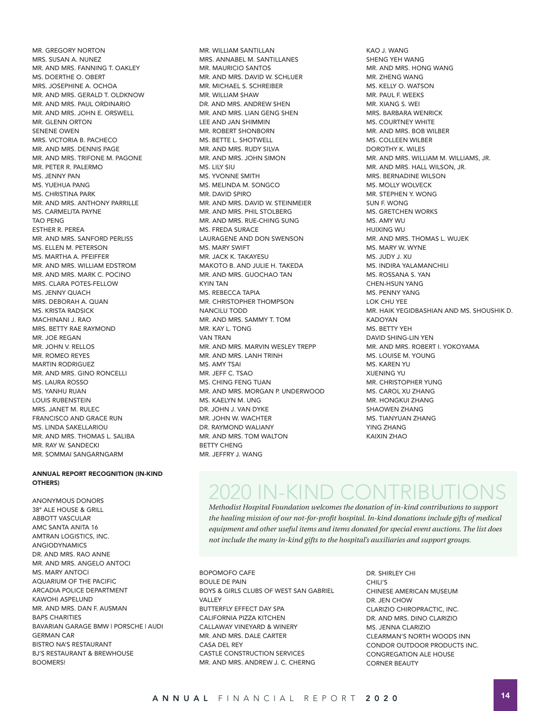MR. GREGORY NORTON MRS. SUSAN A. NUNEZ MR. AND MRS. FANNING T. OAKLEY MS. DOERTHE O. OBERT MRS. JOSEPHINE A. OCHOA MR. AND MRS. GERALD T. OLDKNOW MR. AND MRS. PAUL ORDINARIO MR. AND MRS. JOHN E. ORSWELL MR. GLENN ORTON SENENE OWEN MRS. VICTORIA B. PACHECO MR. AND MRS. DENNIS PAGE MR. AND MRS. TRIFONE M. PAGONE MR. PETER R. PALERMO MS. JENNY PAN MS. YUEHUA PANG MS. CHRISTINA PARK MR. AND MRS. ANTHONY PARRILLE MS. CARMELITA PAYNE TAO PENG ESTHER R. PEREA MR. AND MRS. SANFORD PERLISS MS. ELLEN M. PETERSON MS. MARTHA A. PFEIFFER MR. AND MRS. WILLIAM EDSTROM MR. AND MRS. MARK C. POCINO MRS. CLARA POTES-FELLOW MS. JENNY QUACH MRS. DEBORAH A. QUAN MS. KRISTA RADSICK MACHINANI J. RAO MRS. BETTY RAE RAYMOND MR. JOE REGAN MR. JOHN V. RELLOS MR. ROMEO REYES MARTIN RODRIGUEZ MR. AND MRS. GINO RONCELLI MS. LAURA ROSSO MS. YANHU RUAN LOUIS RUBENSTEIN MRS. JANET M. RULEC FRANCISCO AND GRACE RUN MS. LINDA SAKELLARIOU MR. AND MRS. THOMAS L. SALIBA MR. RAY W. SANDECKI MR. SOMMAI SANGARNGARM

#### ANNUAL REPORT RECOGNITION (IN-KIND OTHERS)

ANONYMOUS DONORS 38° ALE HOUSE & GRILL ABBOTT VASCULAR AMC SANTA ANITA 16 AMTRAN LOGISTICS, INC. ANGIODYNAMICS DR. AND MRS. RAO ANNE MR. AND MRS. ANGELO ANTOCI MS. MARY ANTOCI AQUARIUM OF THE PACIFIC ARCADIA POLICE DEPARTMENT KAWOHI ASPELUND MR. AND MRS. DAN F. AUSMAN BAPS CHARITIES BAVARIAN GARAGE BMW | PORSCHE | AUDI GERMAN CAR BISTRO NA'S RESTAURANT BJ'S RESTAURANT & BREWHOUSE **BOOMERS!** 

MR. WILLIAM SANTILLAN MRS. ANNABEL M. SANTILLANES MR. MAURICIO SANTOS MR. AND MRS. DAVID W. SCHLUER MR. MICHAEL S. SCHREIBER MR. WILLIAM SHAW DR. AND MRS. ANDREW SHEN MR. AND MRS. LIAN GENG SHEN LEE AND JAN SHIMMIN MR. ROBERT SHONBORN MS. BETTE L. SHOTWELL MR. AND MRS. RUDY SILVA MR. AND MRS. JOHN SIMON MS. LILY SIU MS. YVONNE SMITH MS. MELINDA M. SONGCO MR. DAVID SPIRO MR. AND MRS. DAVID W. STEINMEIER MR. AND MRS. PHIL STOLBERG MR. AND MRS. RUE-CHING SUNG MS. FREDA SURACE LAURAGENE AND DON SWENSON MS. MARY SWIFT MR. JACK K. TAKAYESU MAKOTO B. AND JULIE H. TAKEDA MR. AND MRS. GUOCHAO TAN KYIN TAN MS. REBECCA TAPIA MR. CHRISTOPHER THOMPSON NANCILU TODD MR. AND MRS. SAMMY T. TOM MR. KAY L. TONG VAN TRAN MR. AND MRS. MARVIN WESLEY TREPP MR. AND MRS. LANH TRINH MS. AMY TSAI MR. JEFF C. TSAO MS. CHING FENG TUAN MR. AND MRS. MORGAN P. UNDERWOOD MS. KAELYN M. UNG DR. JOHN J. VAN DYKE MR. JOHN W. WACHTER DR. RAYMOND WALIANY MR. AND MRS. TOM WALTON BETTY CHENG MR. JEFFRY J. WANG

KAO J. WANG SHENG YEH WANG MR. AND MRS. HONG WANG MR. ZHENG WANG MS. KELLY O. WATSON MR. PAUL F. WEEKS MR. XIANG S. WEI MRS. BARBARA WENRICK MS. COURTNEY WHITE MR. AND MRS. BOB WILBER MS. COLLEEN WILBER DOROTHY K. WILES MR. AND MRS. WILLIAM M. WILLIAMS, JR. MR. AND MRS. HALL WILSON, JR. MRS. BERNADINE WILSON MS. MOLLY WOLVECK MR. STEPHEN Y. WONG SUN F. WONG MS. GRETCHEN WORKS MS. AMY WU HUIXING WU MR. AND MRS. THOMAS L. WUJEK MS. MARY W. WYNE MS. JUDY J. XU MS. INDIRA YALAMANCHILI MS. ROSSANA S. YAN CHEN-HSUN YANG MS. PENNY YANG LOK CHU YEE MR. HAIK YEGIDBASHIAN AND MS. SHOUSHIK D. KADOYAN MS. BETTY YEH DAVID SHING-LIN YEN MR. AND MRS. ROBERT I. YOKOYAMA MS. LOUISE M. YOUNG MS. KAREN YU XUENING YU MR. CHRISTOPHER YUNG MS. CAROL XU ZHANG MR. HONGKUI ZHANG SHAOWEN ZHANG MS. TIANYUAN ZHANG YING ZHANG KAIXIN ZHAO

## 2020 IN-KIND CONTRIBUTIONS

*Methodist Hospital Foundation welcomes the donation of in-kind contributions to support the healing mission of our not-for-profit hospital. In-kind donations include gifts of medical equipment and other useful items and items donated for special event auctions. The list does not include the many in-kind gifts to the hospital's auxiliaries and support groups.*

BOPOMOFO CAFE BOULE DE PAIN BOYS & GIRLS CLUBS OF WEST SAN GABRIEL VALLEY BUTTERFLY EFFECT DAY SPA CALIFORNIA PIZZA KITCHEN CALLAWAY VINEYARD & WINERY MR. AND MRS. DALE CARTER CASA DEL REY CASTLE CONSTRUCTION SERVICES MR. AND MRS. ANDREW J. C. CHERNG

DR. SHIRLEY CHI CHILI'S CHINESE AMERICAN MUSEUM DR. JEN CHOW CLARIZIO CHIROPRACTIC, INC. DR. AND MRS. DINO CLARIZIO MS. JENNA CLARIZIO CLEARMAN'S NORTH WOODS INN CONDOR OUTDOOR PRODUCTS INC. CONGREGATION ALE HOUSE CORNER BEAUTY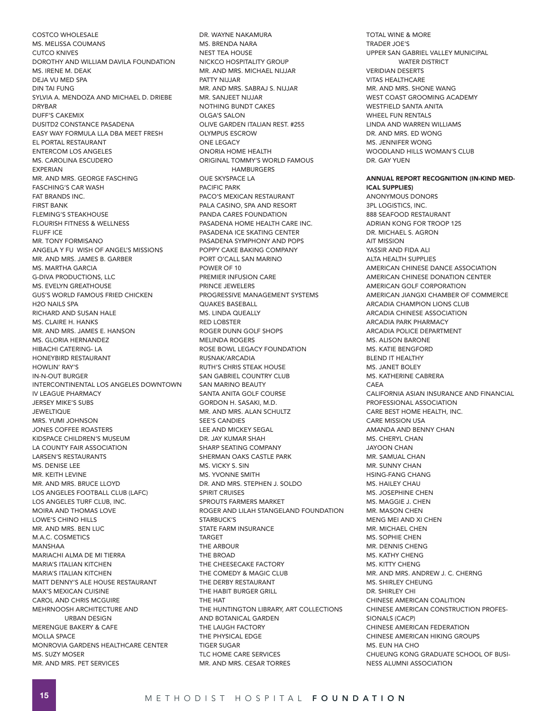COSTCO WHOLESALE MS. MELISSA COUMANS CUTCO KNIVES DOROTHY AND WILLIAM DAVILA FOUNDATION MS. IRENE M. DEAK DEJA VU MED SPA DIN TAI FUNG SYLVIA A. MENDOZA AND MICHAEL D. DRIEBE DRYBAR DUFF'S CAKEMIX DUSITD2 CONSTANCE PASADENA EASY WAY FORMULA LLA DBA MEET FRESH EL PORTAL RESTAURANT ENTERCOM LOS ANGELES MS. CAROLINA ESCUDERO EXPERIAN MR. AND MRS. GEORGE FASCHING FASCHING'S CAR WASH FAT BRANDS INC. FIRST BANK FLEMING'S STEAKHOUSE FLOURISH FITNESS & WELLNESS FLUFF ICE MR. TONY FORMISANO ANGELA Y FU WISH OF ANGEL'S MISSIONS MR. AND MRS. JAMES B. GARBER MS. MARTHA GARCIA G-DIVA PRODUCTIONS, LLC MS. EVELYN GREATHOUSE GUS'S WORLD FAMOUS FRIED CHICKEN H2O NAILS SPA RICHARD AND SUSAN HALE MS. CLAIRE H. HANKS MR. AND MRS. JAMES E. HANSON MS. GLORIA HERNANDEZ HIBACHI CATERING- LA HONEYBIRD RESTAURANT HOWLIN' RAY'S IN-N-OUT BURGER INTERCONTINENTAL LOS ANGELES DOWNTOWN IV LEAGUE PHARMACY JERSEY MIKE'S SUBS **JEWELTIQUE** MRS. YUMI JOHNSON JONES COFFEE ROASTERS KIDSPACE CHILDREN'S MUSEUM LA COUNTY FAIR ASSOCIATION LARSEN'S RESTAURANTS MS. DENISE LEE MR. KEITH LEVINE MR. AND MRS. BRUCE LLOYD LOS ANGELES FOOTBALL CLUB (LAFC) LOS ANGELES TURF CLUB, INC. MOIRA AND THOMAS LOVE LOWE'S CHINO HILLS MR. AND MRS. BEN LUC M.A.C. COSMETICS MANSHAA MARIACHI ALMA DE MI TIERRA MARIA'S ITALIAN KITCHEN MARIA'S ITALIAN KITCHEN MATT DENNY'S ALE HOUSE RESTAURANT MAX'S MEXICAN CUISINE CAROL AND CHRIS MCGUIRE MEHRNOOSH ARCHITECTURE AND URBAN DESIGN MERENGUE BAKERY & CAFE MOLLA SPACE MONROVIA GARDENS HEALTHCARE CENTER MS. SUZY MOSER MR. AND MRS. PET SERVICES

DR. WAYNE NAKAMURA MS. BRENDA NARA NEST TEA HOUSE NICKCO HOSPITALITY GROUP MR. AND MRS. MICHAEL NIJJAR PATTY NIJJAR MR. AND MRS. SABRAJ S. NIJJAR MR. SANJEET NIJJAR NOTHING BUNDT CAKES OLGA'S SALON OLIVE GARDEN ITALIAN REST. #255 OLYMPUS ESCROW ONE LEGACY ONORIA HOME HEALTH ORIGINAL TOMMY'S WORLD FAMOUS HAMBURGERS OUE SKYSPACE LA PACIFIC PARK PACO'S MEXICAN RESTAURANT PALA CASINO, SPA AND RESORT PANDA CARES FOUNDATION PASADENA HOME HEALTH CARE INC. PASADENA ICE SKATING CENTER PASADENA SYMPHONY AND POPS POPPY CAKE BAKING COMPANY PORT O'CALL SAN MARINO POWER OF 10 PREMIER INFUSION CARE PRINCE JEWELERS PROGRESSIVE MANAGEMENT SYSTEMS QUAKES BASEBALL MS. LINDA QUEALLY RED LOBSTER ROGER DUNN GOLF SHOPS MELINDA ROGERS ROSE BOWL LEGACY FOUNDATION RUSNAK/ARCADIA RUTH'S CHRIS STEAK HOUSE SAN GABRIEL COUNTRY CLUB SAN MARINO BEAUTY SANTA ANITA GOLF COURSE GORDON H. SASAKI, M.D. MR. AND MRS. ALAN SCHULTZ SEE'S CANDIES LEE AND MICKEY SEGAL DR. JAY KUMAR SHAH SHARP SEATING COMPANY SHERMAN OAKS CASTLE PARK MS. VICKY S. SIN MS. YVONNE SMITH DR. AND MRS. STEPHEN J. SOLDO SPIRIT CRUISES SPROUTS FARMERS MARKET ROGER AND LILAH STANGELAND FOUNDATION STARBUCK'S STATE FARM INSURANCE TARGET THE ARBOUR THE BROAD THE CHEESECAKE FACTORY THE COMEDY & MAGIC CLUB THE DERBY RESTAURANT THE HABIT BURGER GRILL THE HAT THE HUNTINGTON LIBRARY, ART COLLECTIONS AND BOTANICAL GARDEN THE LAUGH FACTORY THE PHYSICAL EDGE TIGER SUGAR TLC HOME CARE SERVICES MR. AND MRS. CESAR TORRES

TOTAL WINE & MORE TRADER JOE'S UPPER SAN GABRIEL VALLEY MUNICIPAL WATER DISTRICT VERIDIAN DESERTS VITAS HEALTHCARE MR. AND MRS. SHONE WANG WEST COAST GROOMING ACADEMY WESTFIELD SANTA ANITA WHEEL FUN RENTALS LINDA AND WARREN WILLIAMS DR. AND MRS. ED WONG MS. JENNIFER WONG WOODLAND HILLS WOMAN'S CLUB DR. GAY YUEN ANNUAL REPORT RECOGNITION (IN-KIND MED-ICAL SUPPLIES)

ANONYMOUS DONORS 3PL LOGISTICS, INC. 888 SEAFOOD RESTAURANT ADRIAN KONG FOR TROOP 125 DR. MICHAEL S. AGRON AIT MISSION YASSIR AND FIDA ALI ALTA HEALTH SUPPLIES AMERICAN CHINESE DANCE ASSOCIATION AMERICAN CHINESE DONATION CENTER AMERICAN GOLF CORPORATION AMERICAN JIANGXI CHAMBER OF COMMERCE ARCADIA CHAMPION LIONS CLUB ARCADIA CHINESE ASSOCIATION ARCADIA PARK PHARMACY ARCADIA POLICE DEPARTMENT MS. ALISON BARONE MS. KATIE BENGFORD BLEND IT HEALTHY MS. JANET BOLEY MS. KATHERINE CABRERA CAEA CALIFORNIA ASIAN INSURANCE AND FINANCIAL PROFESSIONAL ASSOCIATION CARE BEST HOME HEALTH, INC. CARE MISSION USA AMANDA AND BENNY CHAN MS. CHERYL CHAN JAYOON CHAN MR. SAMUAL CHAN MR. SUNNY CHAN HSING-FANG CHANG MS. HAILEY CHAU MS. JOSEPHINE CHEN MS. MAGGIE J. CHEN MR. MASON CHEN MENG MEI AND XI CHEN MR. MICHAEL CHEN MS. SOPHIE CHEN MR. DENNIS CHENG MS. KATHY CHENG MS. KITTY CHENG MR. AND MRS. ANDREW J. C. CHERNG MS. SHIRLEY CHEUNG DR. SHIRLEY CHI CHINESE AMERICAN COALITION CHINESE AMERICAN CONSTRUCTION PROFES-SIONALS (CACP) CHINESE AMERICAN FEDERATION CHINESE AMERICAN HIKING GROUPS MS. EUN HA CHO CHUEUNG KONG GRADUATE SCHOOL OF BUSI-NESS ALUMNI ASSOCIATION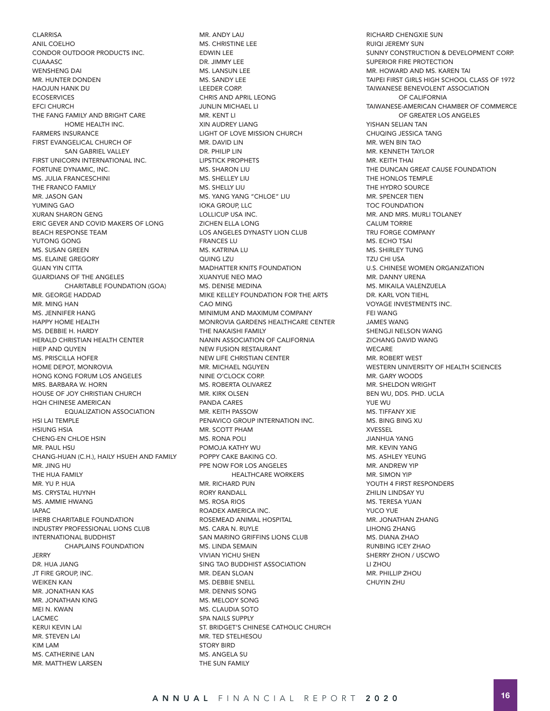**CLARRISA** ANIL COELHO CONDOR OUTDOOR PRODUCTS INC. **CUAAASC** WENSHENG DAI MR. HUNTER DONDEN HAOJUN HANK DU **ECOSERVICES** EFCI CHURCH THE FANG FAMILY AND BRIGHT CARE HOME HEALTH INC. FARMERS INSURANCE FIRST EVANGELICAL CHURCH OF SAN GABRIEL VALLEY FIRST UNICORN INTERNATIONAL INC. FORTUNE DYNAMIC, INC. MS. JULIA FRANCESCHINI THE FRANCO FAMILY MR. JASON GAN YUMING GAO XURAN SHARON GENG ERIC GEVER AND COVID MAKERS OF LONG BEACH RESPONSE TEAM YUTONG GONG MS. SUSAN GREEN MS. ELAINE GREGORY GUAN YIN CITTA GUARDIANS OF THE ANGELES CHARITABLE FOUNDATION (GOA) MR. GEORGE HADDAD MR. MING HAN MS. JENNIFER HANG HAPPY HOME HEALTH MS. DEBBIE H. HARDY HERALD CHRISTIAN HEALTH CENTER HIEP AND QUYEN MS. PRISCILLA HOFER HOME DEPOT, MONROVIA HONG KONG FORUM LOS ANGELES MRS. BARBARA W. HORN HOUSE OF JOY CHRISTIAN CHURCH HQH CHINESE AMERICAN EQUALIZATION ASSOCIATION HSI LAI TEMPLE HSIUNG HSIA CHENG-EN CHLOE HSIN MR. PAUL HSU CHANG-HUAN (C.H.), HAILY HSUEH AND FAMILY MR. JING HU THE HUA FAMILY MR. YU P. HUA MS. CRYSTAL HUYNH MS. AMMIE HWANG IAPAC IHERB CHARITABLE FOUNDATION INDUSTRY PROFESSIONAL LIONS CLUB INTERNATIONAL BUDDHIST CHAPLAINS FOUNDATION **JERRY** DR. HUA JIANG JT FIRE GROUP, INC. WEIKEN KAN MR. JONATHAN KAS MR. JONATHAN KING MEI N. KWAN LACMEC KERUI KEVIN LAI MR. STEVEN LAI KIM LAM MS. CATHERINE LAN MR. MATTHEW LARSEN

MR. ANDY LAU MS. CHRISTINE LEE EDWIN LEE DR. JIMMY LEE MS. LANSUN LEE MS. SANDY LEE LEEDER CORP. CHRIS AND APRIL LEONG JUNLIN MICHAEL LI MR. KENT LI XIN AUDREY LIANG LIGHT OF LOVE MISSION CHURCH MR. DAVID LIN DR. PHILIP LIN LIPSTICK PROPHETS MS. SHARON LIU MS. SHELLEY LIU MS. SHELLY LIU MS. YANG YANG "CHLOE" LIU IOKA GROUP, LLC LOLLICUP USA INC. ZICHEN ELLA LONG LOS ANGELES DYNASTY LION CLUB FRANCES LU MS. KATRINA LU QUING LZU MADHATTER KNITS FOUNDATION XUANYUE NEO MAO MS. DENISE MEDINA MIKE KELLEY FOUNDATION FOR THE ARTS CAO MING MINIMUM AND MAXIMUM COMPANY MONROVIA GARDENS HEALTHCARE CENTER THE NAKAISHI FAMILY NANIN ASSOCIATION OF CALIFORNIA NEW FUSION RESTAURANT NEW LIFE CHRISTIAN CENTER MR. MICHAEL NGUYEN NINE O'CLOCK CORP. MS. ROBERTA OLIVAREZ MR. KIRK OLSEN PANDA CARES MR. KEITH PASSOW PENAVICO GROUP INTERNATION INC. MR. SCOTT PHAM MS. RONA POLI POMOJA KATHY WU POPPY CAKE BAKING CO. PPE NOW FOR LOS ANGELES HEALTHCARE WORKERS MR. RICHARD PUN RORY RANDALL MS. ROSA RIOS ROADEX AMERICA INC. ROSEMEAD ANIMAL HOSPITAL MS. CARA N. RUYLE SAN MARINO GRIFFINS LIONS CLUB MS. LINDA SEMAIN VIVIAN YICHU SHEN SING TAO BUDDHIST ASSOCIATION MR. DEAN SLOAN MS. DEBBIE SNELL MR. DENNIS SONG MS. MELODY SONG MS. CLAUDIA SOTO SPA NAILS SUPPLY ST. BRIDGET'S CHINESE CATHOLIC CHURCH MR. TED STELHESOU STORY BIRD MS. ANGELA SU THE SUN FAMILY

RICHARD CHENGXIE SUN RUIQI JEREMY SUN SUNNY CONSTRUCTION & DEVELOPMENT CORP. SUPERIOR FIRE PROTECTION MR. HOWARD AND MS. KAREN TAI TAIPEI FIRST GIRLS HIGH SCHOOL CLASS OF 1972 TAIWANESE BENEVOLENT ASSOCIATION OF CALIFORNIA TAIWANESE-AMERICAN CHAMBER OF COMMERCE OF GREATER LOS ANGELES YISHAN SELIAN TAN CHUQING JESSICA TANG MR. WEN BIN TAO MR. KENNETH TAYLOR MR. KEITH THAI THE DUNCAN GREAT CAUSE FOUNDATION THE HONLOS TEMPLE THE HYDRO SOURCE MR. SPENCER TIEN TOC FOUNDATION MR. AND MRS. MURLI TOLANEY CALUM TORRIE TRU FORGE COMPANY MS. ECHO TSAI MS. SHIRLEY TUNG TZU CHI USA U.S. CHINESE WOMEN ORGANIZATION MR. DANNY URENA MS. MIKAILA VALENZUELA DR. KARL VON TIEHL VOYAGE INVESTMENTS INC. FEI WANG JAMES WANG SHENGJI NELSON WANG ZICHANG DAVID WANG **WECARE** MR. ROBERT WEST WESTERN UNIVERSITY OF HEALTH SCIENCES MR. GARY WOODS MR. SHELDON WRIGHT BEN WU, DDS. PHD. UCLA YUE WU MS. TIFFANY XIE MS. BING BING XU XVESSEL JIANHUA YANG MR. KEVIN YANG MS. ASHLEY YEUNG MR. ANDREW YIP MR. SIMON YIP YOUTH 4 FIRST RESPONDERS ZHILIN LINDSAY YU MS. TERESA YUAN YUCO YUE MR. JONATHAN ZHANG LIHONG ZHANG MS. DIANA ZHAO RUNBING ICEY ZHAO SHERRY ZHON / USCWO LI ZHOU MR. PHILLIP ZHOU CHUYIN ZHU